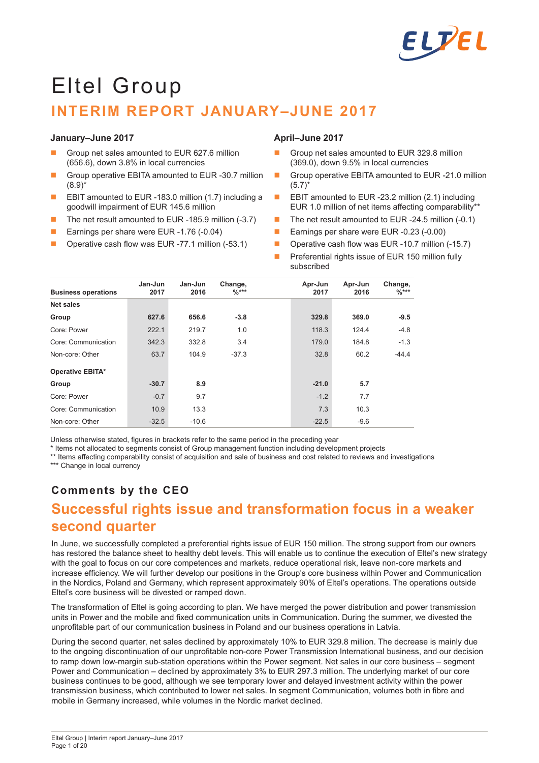

# Eltel Group **INTERIM REPORT JANUARY–JUNE 2017**

#### **January–June 2017**

- Group net sales amounted to EUR 627.6 million (656.6), down 3.8% in local currencies
- Group operative EBITA amounted to EUR -30.7 million  $(8.9)^*$
- EBIT amounted to EUR -183.0 million (1.7) including a goodwill impairment of EUR 145.6 million
- The net result amounted to EUR -185.9 million (-3.7)
- **E** Earnings per share were EUR -1.76 (-0.04)
- Operative cash flow was EUR -77.1 million (-53.1)

### **April–June 2017**

- Group net sales amounted to EUR 329.8 million (369.0), down 9.5% in local currencies
- Group operative EBITA amounted to EUR -21.0 million  $(5.7)^*$
- **EBIT** amounted to EUR -23.2 million  $(2.1)$  including EUR 1.0 million of net items affecting comparability\*\*
- The net result amounted to EUR -24.5 million (-0.1)
- Earnings per share were EUR -0.23 (-0.00)
- Operative cash flow was EUR -10.7 million (-15.7)
- Preferential rights issue of EUR 150 million fully subscribed

| <b>Business operations</b> | Jan-Jun<br>2017 | Jan-Jun<br>2016 | Change,<br>$\frac{9}{6}$ *** | Apr-Jun<br>2017 | Apr-Jun<br>2016 | Change,<br>$\frac{9}{6}$ *** |
|----------------------------|-----------------|-----------------|------------------------------|-----------------|-----------------|------------------------------|
| Net sales                  |                 |                 |                              |                 |                 |                              |
| Group                      | 627.6           | 656.6           | $-3.8$                       | 329.8           | 369.0           | $-9.5$                       |
| Core: Power                | 222.1           | 219.7           | 1.0                          | 118.3           | 124.4           | $-4.8$                       |
| Core: Communication        | 342.3           | 332.8           | 3.4                          | 179.0           | 184.8           | $-1.3$                       |
| Non-core: Other            | 63.7            | 104.9           | $-37.3$                      | 32.8            | 60.2            | $-44.4$                      |
| <b>Operative EBITA*</b>    |                 |                 |                              |                 |                 |                              |
| Group                      | $-30.7$         | 8.9             |                              | $-21.0$         | 5.7             |                              |
| Core: Power                | $-0.7$          | 9.7             |                              | $-1.2$          | 7.7             |                              |
| Core: Communication        | 10.9            | 13.3            |                              | 7.3             | 10.3            |                              |
| Non-core: Other            | $-32.5$         | $-10.6$         |                              | $-22.5$         | $-9.6$          |                              |

Unless otherwise stated, figures in brackets refer to the same period in the preceding year

\* Items not allocated to segments consist of Group management function including development projects

\*\* Items affecting comparability consist of acquisition and sale of business and cost related to reviews and investigations

\*\*\* Change in local currency

# **Comments by the CEO**

# **Successful rights issue and transformation focus in a weaker second quarter**

In June, we successfully completed a preferential rights issue of EUR 150 million. The strong support from our owners has restored the balance sheet to healthy debt levels. This will enable us to continue the execution of Eltel's new strategy with the goal to focus on our core competences and markets, reduce operational risk, leave non-core markets and increase efficiency. We will further develop our positions in the Group's core business within Power and Communication in the Nordics, Poland and Germany, which represent approximately 90% of Eltel's operations. The operations outside Eltel's core business will be divested or ramped down.

The transformation of Eltel is going according to plan. We have merged the power distribution and power transmission units in Power and the mobile and fixed communication units in Communication. During the summer, we divested the unprofitable part of our communication business in Poland and our business operations in Latvia.

During the second quarter, net sales declined by approximately 10% to EUR 329.8 million. The decrease is mainly due to the ongoing discontinuation of our unprofitable non-core Power Transmission International business, and our decision to ramp down low-margin sub-station operations within the Power segment. Net sales in our core business – segment Power and Communication – declined by approximately 3% to EUR 297.3 million. The underlying market of our core business continues to be good, although we see temporary lower and delayed investment activity within the power transmission business, which contributed to lower net sales. In segment Communication, volumes both in fibre and mobile in Germany increased, while volumes in the Nordic market declined.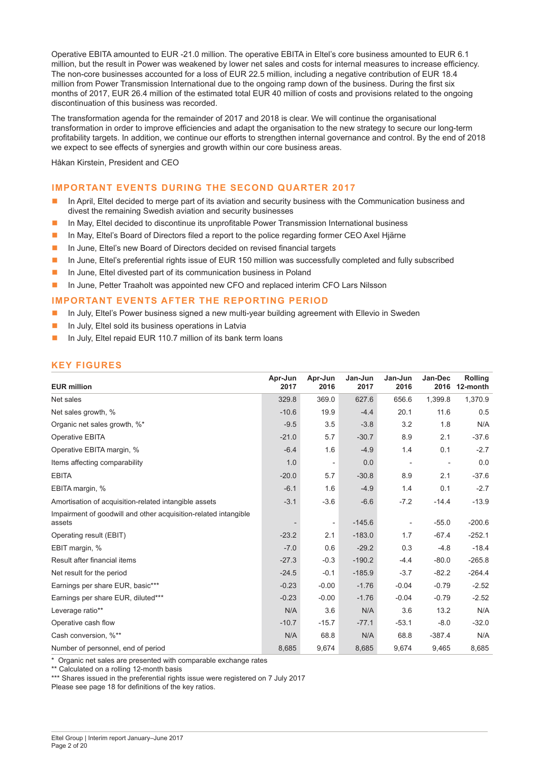Operative EBITA amounted to EUR -21.0 million. The operative EBITA in Eltel's core business amounted to EUR 6.1 million, but the result in Power was weakened by lower net sales and costs for internal measures to increase efficiency. The non-core businesses accounted for a loss of EUR 22.5 million, including a negative contribution of EUR 18.4 million from Power Transmission International due to the ongoing ramp down of the business. During the first six months of 2017, EUR 26.4 million of the estimated total EUR 40 million of costs and provisions related to the ongoing discontinuation of this business was recorded.

The transformation agenda for the remainder of 2017 and 2018 is clear. We will continue the organisational transformation in order to improve efficiencies and adapt the organisation to the new strategy to secure our long-term profitability targets. In addition, we continue our efforts to strengthen internal governance and control. By the end of 2018 we expect to see effects of synergies and growth within our core business areas.

Håkan Kirstein, President and CEO

### **IMPORTANT EVENTS DURING THE SECOND QUARTER 2017**

- **In April, Eltel decided to merge part of its aviation and security business with the Communication business and** divest the remaining Swedish aviation and security businesses
- In May, Eltel decided to discontinue its unprofitable Power Transmission International business
- In May, Eltel's Board of Directors filed a report to the police regarding former CEO Axel Hjärne
- In June, Eltel's new Board of Directors decided on revised financial targets
- In June, Eltel's preferential rights issue of EUR 150 million was successfully completed and fully subscribed
- In June, Eltel divested part of its communication business in Poland
- In June, Petter Traaholt was appointed new CFO and replaced interim CFO Lars Nilsson

#### **IMPORTANT EVENTS AFTER THE REPORTING PERIOD**

- **In July, Eltel's Power business signed a new multi-year building agreement with Ellevio in Sweden**
- $\blacksquare$  In July, Eltel sold its business operations in Latvia
- In July, Eltel repaid EUR 110.7 million of its bank term loans

# **KEY FIGURES**

| <b>EUR million</b>                                                        | Apr-Jun<br>2017 | Apr-Jun<br>2016          | Jan-Jun<br>2017 | Jan-Jun<br>2016 | Jan-Dec<br>2016 | <b>Rolling</b><br>12-month |
|---------------------------------------------------------------------------|-----------------|--------------------------|-----------------|-----------------|-----------------|----------------------------|
| Net sales                                                                 | 329.8           | 369.0                    | 627.6           | 656.6           | 1,399.8         | 1,370.9                    |
| Net sales growth, %                                                       | $-10.6$         | 19.9                     | $-4.4$          | 20.1            | 11.6            | 0.5                        |
| Organic net sales growth, %*                                              | $-9.5$          | 3.5                      | $-3.8$          | 3.2             | 1.8             | N/A                        |
| Operative EBITA                                                           | $-21.0$         | 5.7                      | $-30.7$         | 8.9             | 2.1             | $-37.6$                    |
| Operative EBITA margin, %                                                 | $-6.4$          | 1.6                      | $-4.9$          | 1.4             | 0.1             | $-2.7$                     |
| Items affecting comparability                                             | 1.0             | $\overline{\phantom{a}}$ | 0.0             |                 |                 | 0.0                        |
| <b>EBITA</b>                                                              | $-20.0$         | 5.7                      | $-30.8$         | 8.9             | 2.1             | $-37.6$                    |
| EBITA margin, %                                                           | $-6.1$          | 1.6                      | $-4.9$          | 1.4             | 0.1             | $-2.7$                     |
| Amortisation of acquisition-related intangible assets                     | $-3.1$          | $-3.6$                   | $-6.6$          | $-7.2$          | $-14.4$         | $-13.9$                    |
| Impairment of goodwill and other acquisition-related intangible<br>assets |                 |                          | $-145.6$        |                 | $-55.0$         | $-200.6$                   |
| Operating result (EBIT)                                                   | $-23.2$         | 2.1                      | $-183.0$        | 1.7             | $-67.4$         | $-252.1$                   |
| EBIT margin, %                                                            | $-7.0$          | 0.6                      | $-29.2$         | 0.3             | $-4.8$          | $-18.4$                    |
| Result after financial items                                              | $-27.3$         | $-0.3$                   | $-190.2$        | $-4.4$          | $-80.0$         | $-265.8$                   |
| Net result for the period                                                 | $-24.5$         | $-0.1$                   | $-185.9$        | $-3.7$          | $-82.2$         | $-264.4$                   |
| Earnings per share EUR, basic***                                          | $-0.23$         | $-0.00$                  | $-1.76$         | $-0.04$         | $-0.79$         | $-2.52$                    |
| Earnings per share EUR, diluted***                                        | $-0.23$         | $-0.00$                  | $-1.76$         | $-0.04$         | $-0.79$         | $-2.52$                    |
| Leverage ratio**                                                          | N/A             | 3.6                      | N/A             | 3.6             | 13.2            | N/A                        |
| Operative cash flow                                                       | $-10.7$         | $-15.7$                  | $-77.1$         | $-53.1$         | $-8.0$          | $-32.0$                    |
| Cash conversion, %**                                                      | N/A             | 68.8                     | N/A             | 68.8            | $-387.4$        | N/A                        |
| Number of personnel, end of period                                        | 8,685           | 9,674                    | 8,685           | 9,674           | 9,465           | 8,685                      |

\* Organic net sales are presented with comparable exchange rates

\*\* Calculated on a rolling 12-month basis

\*\*\* Shares issued in the preferential rights issue were registered on 7 July 2017 Please see page 18 for definitions of the key ratios.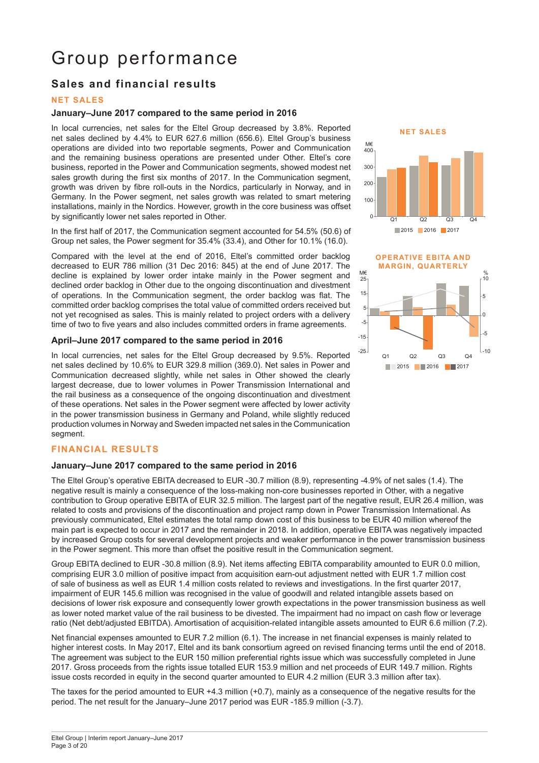# Group performance

# **Sales and financial results**

### **NET SALES**

#### **January–June 2017 compared to the same period in 2016**

In local currencies, net sales for the Eltel Group decreased by 3.8%. Reported net sales declined by 4.4% to EUR 627.6 million (656.6). Eltel Group's business operations are divided into two reportable segments, Power and Communication and the remaining business operations are presented under Other. Eltel's core business, reported in the Power and Communication segments, showed modest net sales growth during the first six months of 2017. In the Communication segment, growth was driven by fibre roll-outs in the Nordics, particularly in Norway, and in Germany. In the Power segment, net sales growth was related to smart metering installations, mainly in the Nordics. However, growth in the core business was offset by significantly lower net sales reported in Other.

In the first half of 2017, the Communication segment accounted for 54.5% (50.6) of Group net sales, the Power segment for 35.4% (33.4), and Other for 10.1% (16.0).

Compared with the level at the end of 2016, Eltel's committed order backlog decreased to EUR 786 million (31 Dec 2016: 845) at the end of June 2017. The decline is explained by lower order intake mainly in the Power segment and declined order backlog in Other due to the ongoing discontinuation and divestment of operations. In the Communication segment, the order backlog was flat. The committed order backlog comprises the total value of committed orders received but not yet recognised as sales. This is mainly related to project orders with a delivery time of two to five years and also includes committed orders in frame agreements.

#### **April–June 2017 compared to the same period in 2016**

In local currencies, net sales for the Eltel Group decreased by 9.5%. Reported net sales declined by 10.6% to EUR 329.8 million (369.0). Net sales in Power and Communication decreased slightly, while net sales in Other showed the clearly largest decrease, due to lower volumes in Power Transmission International and the rail business as a consequence of the ongoing discontinuation and divestment of these operations. Net sales in the Power segment were affected by lower activity in the power transmission business in Germany and Poland, while slightly reduced production volumes in Norway and Sweden impacted net sales in the Communication segment.

# **FINANCIAL RESULTS**

#### **January–June 2017 compared to the same period in 2016**

The Eltel Group's operative EBITA decreased to EUR -30.7 million (8.9), representing -4.9% of net sales (1.4). The negative result is mainly a consequence of the loss-making non-core businesses reported in Other, with a negative contribution to Group operative EBITA of EUR 32.5 million. The largest part of the negative result, EUR 26.4 million, was related to costs and provisions of the discontinuation and project ramp down in Power Transmission International. As previously communicated, Eltel estimates the total ramp down cost of this business to be EUR 40 million whereof the main part is expected to occur in 2017 and the remainder in 2018. In addition, operative EBITA was negatively impacted by increased Group costs for several development projects and weaker performance in the power transmission business in the Power segment. This more than offset the positive result in the Communication segment.

Group EBITA declined to EUR -30.8 million (8.9). Net items affecting EBITA comparability amounted to EUR 0.0 million, comprising EUR 3.0 million of positive impact from acquisition earn-out adjustment netted with EUR 1.7 million cost of sale of business as well as EUR 1.4 million costs related to reviews and investigations. In the first quarter 2017, impairment of EUR 145.6 million was recognised in the value of goodwill and related intangible assets based on decisions of lower risk exposure and consequently lower growth expectations in the power transmission business as well as lower noted market value of the rail business to be divested. The impairment had no impact on cash flow or leverage ratio (Net debt/adjusted EBITDA). Amortisation of acquisition-related intangible assets amounted to EUR 6.6 million (7.2).

Net financial expenses amounted to EUR 7.2 million (6.1). The increase in net financial expenses is mainly related to higher interest costs. In May 2017, Eltel and its bank consortium agreed on revised financing terms until the end of 2018. The agreement was subject to the EUR 150 million preferential rights issue which was successfully completed in June 2017. Gross proceeds from the rights issue totalled EUR 153.9 million and net proceeds of EUR 149.7 million. Rights issue costs recorded in equity in the second quarter amounted to EUR 4.2 million (EUR 3.3 million after tax).

The taxes for the period amounted to EUR +4.3 million (+0.7), mainly as a consequence of the negative results for the





period. The net result for the January–June 2017 period was EUR -185.9 million (-3.7).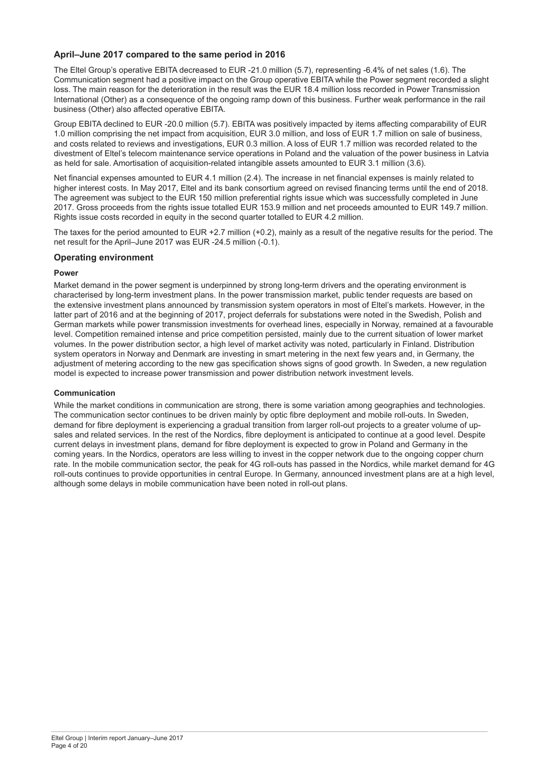# **April–June 2017 compared to the same period in 2016**

The Eltel Group's operative EBITA decreased to EUR -21.0 million (5.7), representing -6.4% of net sales (1.6). The Communication segment had a positive impact on the Group operative EBITA while the Power segment recorded a slight loss. The main reason for the deterioration in the result was the EUR 18.4 million loss recorded in Power Transmission International (Other) as a consequence of the ongoing ramp down of this business. Further weak performance in the rail business (Other) also affected operative EBITA.

Group EBITA declined to EUR -20.0 million (5.7). EBITA was positively impacted by items affecting comparability of EUR 1.0 million comprising the net impact from acquisition, EUR 3.0 million, and loss of EUR 1.7 million on sale of business, and costs related to reviews and investigations, EUR 0.3 million. A loss of EUR 1.7 million was recorded related to the divestment of Eltel's telecom maintenance service operations in Poland and the valuation of the power business in Latvia as held for sale. Amortisation of acquisition-related intangible assets amounted to EUR 3.1 million (3.6).

Net financial expenses amounted to EUR 4.1 million (2.4). The increase in net financial expenses is mainly related to higher interest costs. In May 2017, Eltel and its bank consortium agreed on revised financing terms until the end of 2018. The agreement was subject to the EUR 150 million preferential rights issue which was successfully completed in June 2017. Gross proceeds from the rights issue totalled EUR 153.9 million and net proceeds amounted to EUR 149.7 million. Rights issue costs recorded in equity in the second quarter totalled to EUR 4.2 million.

The taxes for the period amounted to EUR +2.7 million (+0.2), mainly as a result of the negative results for the period. The net result for the April–June 2017 was EUR -24.5 million (-0.1).

### **Operating environment**

#### **Power**

Market demand in the power segment is underpinned by strong long-term drivers and the operating environment is characterised by long-term investment plans. In the power transmission market, public tender requests are based on the extensive investment plans announced by transmission system operators in most of Eltel's markets. However, in the latter part of 2016 and at the beginning of 2017, project deferrals for substations were noted in the Swedish, Polish and German markets while power transmission investments for overhead lines, especially in Norway, remained at a favourable level. Competition remained intense and price competition persisted, mainly due to the current situation of lower market volumes. In the power distribution sector, a high level of market activity was noted, particularly in Finland. Distribution system operators in Norway and Denmark are investing in smart metering in the next few years and, in Germany, the adjustment of metering according to the new gas specification shows signs of good growth. In Sweden, a new regulation model is expected to increase power transmission and power distribution network investment levels.

#### **Communication**

While the market conditions in communication are strong, there is some variation among geographies and technologies. The communication sector continues to be driven mainly by optic fibre deployment and mobile roll-outs. In Sweden, demand for fibre deployment is experiencing a gradual transition from larger roll-out projects to a greater volume of upsales and related services. In the rest of the Nordics, fibre deployment is anticipated to continue at a good level. Despite current delays in investment plans, demand for fibre deployment is expected to grow in Poland and Germany in the coming years. In the Nordics, operators are less willing to invest in the copper network due to the ongoing copper churn rate. In the mobile communication sector, the peak for 4G roll-outs has passed in the Nordics, while market demand for 4G roll-outs continues to provide opportunities in central Europe. In Germany, announced investment plans are at a high level, although some delays in mobile communication have been noted in roll-out plans.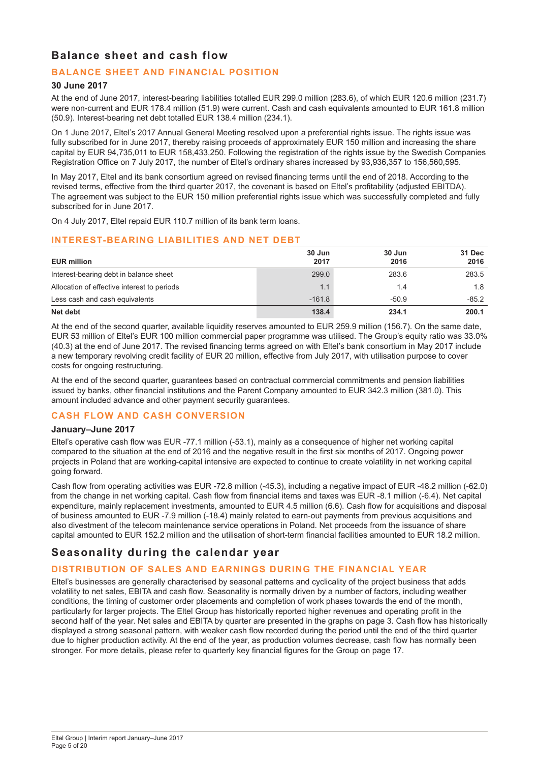# **Balance sheet and cash flow**

# **BALANCE SHEET AND FINANCIAL POSITION**

### **30 June 2017**

At the end of June 2017, interest-bearing liabilities totalled EUR 299.0 million (283.6), of which EUR 120.6 million (231.7) were non-current and EUR 178.4 million (51.9) were current. Cash and cash equivalents amounted to EUR 161.8 million (50.9). Interest-bearing net debt totalled EUR 138.4 million (234.1).

On 1 June 2017, Eltel's 2017 Annual General Meeting resolved upon a preferential rights issue. The rights issue was fully subscribed for in June 2017, thereby raising proceeds of approximately EUR 150 million and increasing the share capital by EUR 94,735,011 to EUR 158,433,250. Following the registration of the rights issue by the Swedish Companies Registration Office on 7 July 2017, the number of Eltel's ordinary shares increased by 93,936,357 to 156,560,595.

In May 2017, Eltel and its bank consortium agreed on revised financing terms until the end of 2018. According to the revised terms, effective from the third quarter 2017, the covenant is based on Eltel's profitability (adjusted EBITDA). The agreement was subject to the EUR 150 million preferential rights issue which was successfully completed and fully subscribed for in June 2017.

On 4 July 2017, Eltel repaid EUR 110.7 million of its bank term loans.

### **INTEREST-BEARING LIABILITIES AND NET DEBT**

| <b>EUR million</b>                          | 30 Jun<br>2017 | 30 Jun<br>2016 | 31 Dec<br>2016 |
|---------------------------------------------|----------------|----------------|----------------|
| Interest-bearing debt in balance sheet      | 299.0          | 283.6          | 283.5          |
| Allocation of effective interest to periods | 1.1            | 1.4            | 1.8            |
| Less cash and cash equivalents              | $-161.8$       | $-50.9$        | $-85.2$        |
| Net debt                                    | 138.4          | 234.1          | 200.1          |

At the end of the second quarter, available liquidity reserves amounted to EUR 259.9 million (156.7). On the same date, EUR 53 million of Eltel's EUR 100 million commercial paper programme was utilised. The Group's equity ratio was 33.0% (40.3) at the end of June 2017. The revised financing terms agreed on with Eltel's bank consortium in May 2017 include a new temporary revolving credit facility of EUR 20 million, effective from July 2017, with utilisation purpose to cover costs for ongoing restructuring.

At the end of the second quarter, guarantees based on contractual commercial commitments and pension liabilities issued by banks, other financial institutions and the Parent Company amounted to EUR 342.3 million (381.0). This amount included advance and other payment security guarantees.

# **CASH FLOW AND CASH CONVERSION**

#### **January–June 2017**

Eltel's operative cash flow was EUR -77.1 million (-53.1), mainly as a consequence of higher net working capital compared to the situation at the end of 2016 and the negative result in the first six months of 2017. Ongoing power projects in Poland that are working-capital intensive are expected to continue to create volatility in net working capital going forward.

Cash flow from operating activities was EUR -72.8 million (-45.3), including a negative impact of EUR -48.2 million (-62.0) from the change in net working capital. Cash flow from financial items and taxes was EUR -8.1 million (-6.4). Net capital expenditure, mainly replacement investments, amounted to EUR 4.5 million (6.6). Cash flow for acquisitions and disposal of business amounted to EUR -7.9 million (-18.4) mainly related to earn-out payments from previous acquisitions and also divestment of the telecom maintenance service operations in Poland. Net proceeds from the issuance of share capital amounted to EUR 152.2 million and the utilisation of short-term financial facilities amounted to EUR 18.2 million.

# **Seasonality during the calendar year**

# **DISTRIBUTION OF SALES AND EARNINGS DURING THE FINANCIAL YEAR**

Eltel's businesses are generally characterised by seasonal patterns and cyclicality of the project business that adds volatility to net sales, EBITA and cash flow. Seasonality is normally driven by a number of factors, including weather conditions, the timing of customer order placements and completion of work phases towards the end of the month, particularly for larger projects. The Eltel Group has historically reported higher revenues and operating profit in the second half of the year. Net sales and EBITA by quarter are presented in the graphs on page 3. Cash flow has historically displayed a strong seasonal pattern, with weaker cash flow recorded during the period until the end of the third quarter due to higher production activity. At the end of the year, as production volumes decrease, cash flow has normally been stronger. For more details, please refer to quarterly key financial figures for the Group on page 17.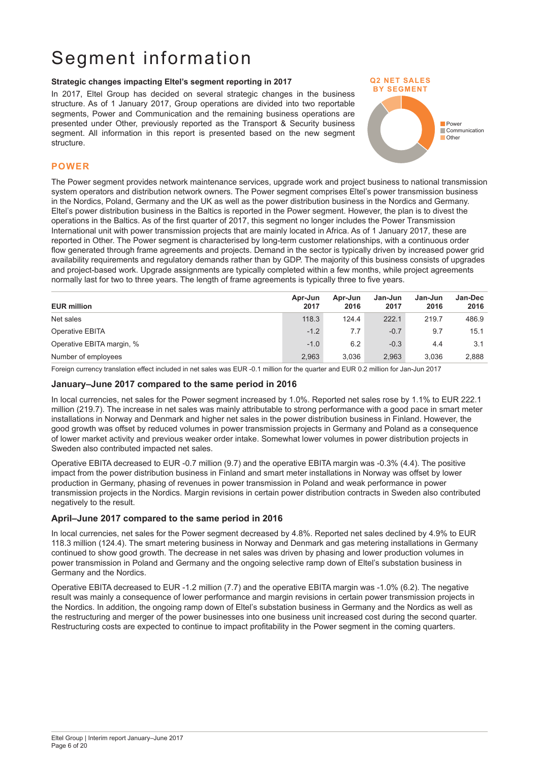# Segment information

#### **Strategic changes impacting Eltel's segment reporting in 2017**

In 2017, Eltel Group has decided on several strategic changes in the business structure. As of 1 January 2017, Group operations are divided into two reportable segments, Power and Communication and the remaining business operations are presented under Other, previously reported as the Transport & Security business segment. All information in this report is presented based on the new segment structure.



#### **POWER**

The Power segment provides network maintenance services, upgrade work and project business to national transmission system operators and distribution network owners. The Power segment comprises Eltel's power transmission business in the Nordics, Poland, Germany and the UK as well as the power distribution business in the Nordics and Germany. Eltel's power distribution business in the Baltics is reported in the Power segment. However, the plan is to divest the operations in the Baltics. As of the first quarter of 2017, this segment no longer includes the Power Transmission International unit with power transmission projects that are mainly located in Africa. As of 1 January 2017, these are reported in Other. The Power segment is characterised by long-term customer relationships, with a continuous order flow generated through frame agreements and projects. Demand in the sector is typically driven by increased power grid availability requirements and regulatory demands rather than by GDP. The majority of this business consists of upgrades and project-based work. Upgrade assignments are typically completed within a few months, while project agreements normally last for two to three years. The length of frame agreements is typically three to five years.

| <b>EUR million</b>        | Apr-Jun<br>2017 | Apr-Jun<br>2016 | Jan-Jun<br>2017 | Jan-Jun<br>2016 | <b>Jan-Dec</b><br>2016 |
|---------------------------|-----------------|-----------------|-----------------|-----------------|------------------------|
| Net sales                 | 118.3           | 124.4           | 222.1           | 219.7           | 486.9                  |
| Operative EBITA           | $-1.2$          | 7.7             | $-0.7$          | 9.7             | 15.1                   |
| Operative EBITA margin, % | $-1.0$          | 6.2             | $-0.3$          | 4.4             | 3.1                    |
| Number of employees       | 2.963           | 3.036           | 2.963           | 3.036           | 2,888                  |

Foreign currency translation effect included in net sales was EUR -0.1 million for the quarter and EUR 0.2 million for Jan-Jun 2017

#### **January–June 2017 compared to the same period in 2016**

In local currencies, net sales for the Power segment increased by 1.0%. Reported net sales rose by 1.1% to EUR 222.1 million (219.7). The increase in net sales was mainly attributable to strong performance with a good pace in smart meter installations in Norway and Denmark and higher net sales in the power distribution business in Finland. However, the good growth was offset by reduced volumes in power transmission projects in Germany and Poland as a consequence of lower market activity and previous weaker order intake. Somewhat lower volumes in power distribution projects in Sweden also contributed impacted net sales.

Operative EBITA decreased to EUR -0.7 million (9.7) and the operative EBITA margin was -0.3% (4.4). The positive impact from the power distribution business in Finland and smart meter installations in Norway was offset by lower production in Germany, phasing of revenues in power transmission in Poland and weak performance in power transmission projects in the Nordics. Margin revisions in certain power distribution contracts in Sweden also contributed negatively to the result.

#### **April–June 2017 compared to the same period in 2016**

In local currencies, net sales for the Power segment decreased by 4.8%. Reported net sales declined by 4.9% to EUR 118.3 million (124.4). The smart metering business in Norway and Denmark and gas metering installations in Germany continued to show good growth. The decrease in net sales was driven by phasing and lower production volumes in power transmission in Poland and Germany and the ongoing selective ramp down of Eltel's substation business in Germany and the Nordics.

Operative EBITA decreased to EUR -1.2 million (7.7) and the operative EBITA margin was -1.0% (6.2). The negative result was mainly a consequence of lower performance and margin revisions in certain power transmission projects in the Nordics. In addition, the ongoing ramp down of Eltel's substation business in Germany and the Nordics as well as the restructuring and merger of the power businesses into one business unit increased cost during the second quarter. Restructuring costs are expected to continue to impact profitability in the Power segment in the coming quarters.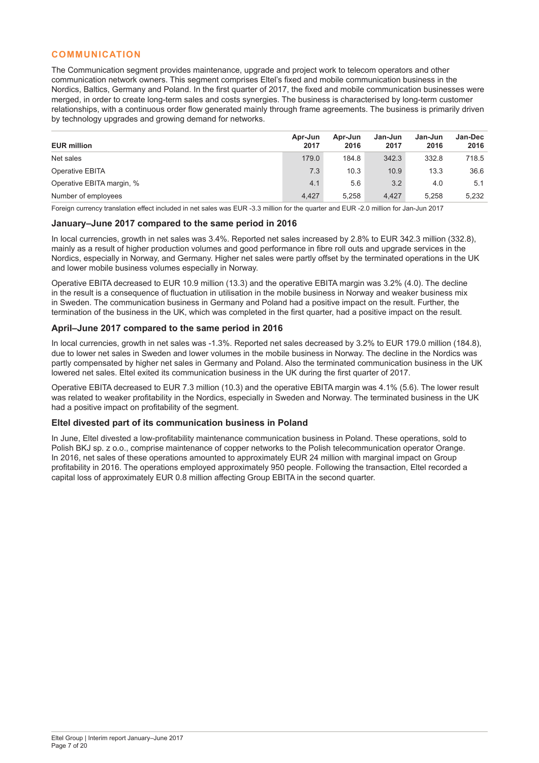### **COMMUNICATION**

The Communication segment provides maintenance, upgrade and project work to telecom operators and other communication network owners. This segment comprises Eltel's fixed and mobile communication business in the Nordics, Baltics, Germany and Poland. In the first quarter of 2017, the fixed and mobile communication businesses were merged, in order to create long-term sales and costs synergies. The business is characterised by long-term customer relationships, with a continuous order flow generated mainly through frame agreements. The business is primarily driven by technology upgrades and growing demand for networks.

| <b>EUR million</b>        | Apr-Jun<br>2017 | Apr-Jun<br>2016 | Jan-Jun<br>2017 | Jan-Jun<br>2016 | <b>Jan-Dec</b><br>2016 |
|---------------------------|-----------------|-----------------|-----------------|-----------------|------------------------|
| Net sales                 | 179.0           | 184.8           | 342.3           | 332.8           | 718.5                  |
| Operative EBITA           | 7.3             | 10.3            | 10.9            | 13.3            | 36.6                   |
| Operative EBITA margin, % | 4.1             | 5.6             | 3.2             | 4.0             | 5.1                    |
| Number of employees       | 4.427           | 5.258           | 4.427           | 5.258           | 5,232                  |

Foreign currency translation effect included in net sales was EUR -3.3 million for the quarter and EUR -2.0 million for Jan-Jun 2017

#### **January–June 2017 compared to the same period in 2016**

In local currencies, growth in net sales was 3.4%. Reported net sales increased by 2.8% to EUR 342.3 million (332.8), mainly as a result of higher production volumes and good performance in fibre roll outs and upgrade services in the Nordics, especially in Norway, and Germany. Higher net sales were partly offset by the terminated operations in the UK and lower mobile business volumes especially in Norway.

Operative EBITA decreased to EUR 10.9 million (13.3) and the operative EBITA margin was 3.2% (4.0). The decline in the result is a consequence of fluctuation in utilisation in the mobile business in Norway and weaker business mix in Sweden. The communication business in Germany and Poland had a positive impact on the result. Further, the termination of the business in the UK, which was completed in the first quarter, had a positive impact on the result.

#### **April–June 2017 compared to the same period in 2016**

In local currencies, growth in net sales was -1.3%. Reported net sales decreased by 3.2% to EUR 179.0 million (184.8), due to lower net sales in Sweden and lower volumes in the mobile business in Norway. The decline in the Nordics was partly compensated by higher net sales in Germany and Poland. Also the terminated communication business in the UK lowered net sales. Eltel exited its communication business in the UK during the first quarter of 2017.

Operative EBITA decreased to EUR 7.3 million (10.3) and the operative EBITA margin was 4.1% (5.6). The lower result was related to weaker profitability in the Nordics, especially in Sweden and Norway. The terminated business in the UK had a positive impact on profitability of the segment.

#### **Eltel divested part of its communication business in Poland**

In June, Eltel divested a low-profitability maintenance communication business in Poland. These operations, sold to Polish BKJ sp. z o.o., comprise maintenance of copper networks to the Polish telecommunication operator Orange. In 2016, net sales of these operations amounted to approximately EUR 24 million with marginal impact on Group profitability in 2016. The operations employed approximately 950 people. Following the transaction, Eltel recorded a capital loss of approximately EUR 0.8 million affecting Group EBITA in the second quarter.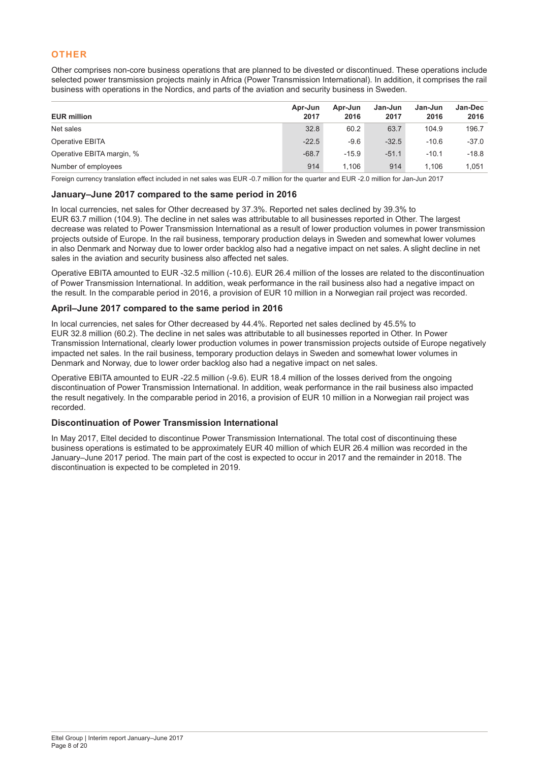# **OTHER**

Other comprises non-core business operations that are planned to be divested or discontinued. These operations include selected power transmission projects mainly in Africa (Power Transmission International). In addition, it comprises the rail business with operations in the Nordics, and parts of the aviation and security business in Sweden.

| <b>EUR million</b>        | Apr-Jun<br>2017 | Apr-Jun<br>2016 | Jan-Jun<br>2017 | Jan-Jun<br>2016 | <b>Jan-Dec</b><br>2016 |
|---------------------------|-----------------|-----------------|-----------------|-----------------|------------------------|
| Net sales                 | 32.8            | 60.2            | 63.7            | 104.9           | 196.7                  |
| Operative EBITA           | $-22.5$         | $-9.6$          | $-32.5$         | $-10.6$         | $-37.0$                |
| Operative EBITA margin, % | $-68.7$         | $-15.9$         | $-51.1$         | $-10.1$         | $-18.8$                |
| Number of employees       | 914             | 1.106           | 914             | 1.106           | 1.051                  |

Foreign currency translation effect included in net sales was EUR -0.7 million for the quarter and EUR -2.0 million for Jan-Jun 2017

#### **January–June 2017 compared to the same period in 2016**

In local currencies, net sales for Other decreased by 37.3%. Reported net sales declined by 39.3% to EUR 63.7 million (104.9). The decline in net sales was attributable to all businesses reported in Other. The largest decrease was related to Power Transmission International as a result of lower production volumes in power transmission projects outside of Europe. In the rail business, temporary production delays in Sweden and somewhat lower volumes in also Denmark and Norway due to lower order backlog also had a negative impact on net sales. A slight decline in net sales in the aviation and security business also affected net sales.

Operative EBITA amounted to EUR -32.5 million (-10.6). EUR 26.4 million of the losses are related to the discontinuation of Power Transmission International. In addition, weak performance in the rail business also had a negative impact on the result. In the comparable period in 2016, a provision of EUR 10 million in a Norwegian rail project was recorded.

### **April–June 2017 compared to the same period in 2016**

In local currencies, net sales for Other decreased by 44.4%. Reported net sales declined by 45.5% to EUR 32.8 million (60.2). The decline in net sales was attributable to all businesses reported in Other. In Power Transmission International, clearly lower production volumes in power transmission projects outside of Europe negatively impacted net sales. In the rail business, temporary production delays in Sweden and somewhat lower volumes in Denmark and Norway, due to lower order backlog also had a negative impact on net sales.

Operative EBITA amounted to EUR -22.5 million (-9.6). EUR 18.4 million of the losses derived from the ongoing discontinuation of Power Transmission International. In addition, weak performance in the rail business also impacted the result negatively. In the comparable period in 2016, a provision of EUR 10 million in a Norwegian rail project was recorded.

# **Discontinuation of Power Transmission International**

In May 2017, Eltel decided to discontinue Power Transmission International. The total cost of discontinuing these business operations is estimated to be approximately EUR 40 million of which EUR 26.4 million was recorded in the January–June 2017 period. The main part of the cost is expected to occur in 2017 and the remainder in 2018. The discontinuation is expected to be completed in 2019.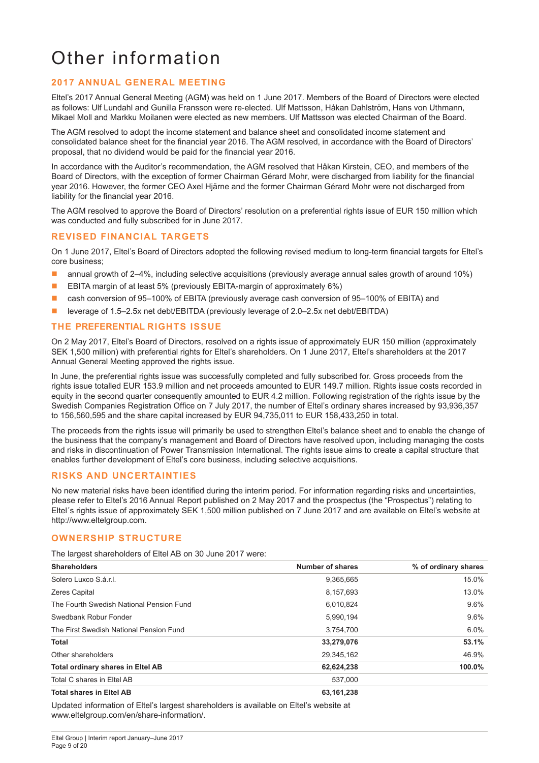# Other information

# **2017 ANNUAL GENERAL MEETING**

Eltel's 2017 Annual General Meeting (AGM) was held on 1 June 2017. Members of the Board of Directors were elected as follows: Ulf Lundahl and Gunilla Fransson were re-elected. Ulf Mattsson, Håkan Dahlström, Hans von Uthmann, Mikael Moll and Markku Moilanen were elected as new members. Ulf Mattsson was elected Chairman of the Board.

The AGM resolved to adopt the income statement and balance sheet and consolidated income statement and consolidated balance sheet for the financial year 2016. The AGM resolved, in accordance with the Board of Directors' proposal, that no dividend would be paid for the financial year 2016.

In accordance with the Auditor's recommendation, the AGM resolved that Håkan Kirstein, CEO, and members of the Board of Directors, with the exception of former Chairman Gérard Mohr, were discharged from liability for the financial year 2016. However, the former CEO Axel Hjärne and the former Chairman Gérard Mohr were not discharged from liability for the financial year 2016.

The AGM resolved to approve the Board of Directors' resolution on a preferential rights issue of EUR 150 million which was conducted and fully subscribed for in June 2017.

### **REVISED FINANCIAL TARGETS**

On 1 June 2017, Eltel's Board of Directors adopted the following revised medium to long-term financial targets for Eltel's core business;

- annual growth of 2–4%, including selective acquisitions (previously average annual sales growth of around 10%)
- EBITA margin of at least 5% (previously EBITA-margin of approximately 6%)
- cash conversion of 95-100% of EBITA (previously average cash conversion of 95-100% of EBITA) and
- leverage of 1.5–2.5x net debt/EBITDA (previously leverage of 2.0–2.5x net debt/EBITDA)

# **THE PREFERENTIAL RIGHTS ISSUE**

On 2 May 2017, Eltel's Board of Directors, resolved on a rights issue of approximately EUR 150 million (approximately SEK 1,500 million) with preferential rights for Eltel's shareholders. On 1 June 2017, Eltel's shareholders at the 2017 Annual General Meeting approved the rights issue.

In June, the preferential rights issue was successfully completed and fully subscribed for. Gross proceeds from the rights issue totalled EUR 153.9 million and net proceeds amounted to EUR 149.7 million. Rights issue costs recorded in equity in the second quarter consequently amounted to EUR 4.2 million. Following registration of the rights issue by the Swedish Companies Registration Office on 7 July 2017, the number of Eltel's ordinary shares increased by 93,936,357 to 156,560,595 and the share capital increased by EUR 94,735,011 to EUR 158,433,250 in total.

The proceeds from the rights issue will primarily be used to strengthen Eltel's balance sheet and to enable the change of the business that the company's management and Board of Directors have resolved upon, including managing the costs and risks in discontinuation of Power Transmission International. The rights issue aims to create a capital structure that enables further development of Eltel's core business, including selective acquisitions.

# **RISKS AND UNCERTAINTIES**

No new material risks have been identified during the interim period. For information regarding risks and uncertainties, please refer to Eltel's 2016 Annual Report published on 2 May 2017 and the prospectus (the "Prospectus") relating to Eltel´s rights issue of approximately SEK 1,500 million published on 7 June 2017 and are available on Eltel's website at http://www.eltelgroup.com.

# **OWNERSHIP STRUCTURE**

The largest shareholders of Eltel AB on 30 June 2017 were:

| <b>Shareholders</b>                      | Number of shares | % of ordinary shares |
|------------------------------------------|------------------|----------------------|
| Solero Luxco S.á.r.l.                    | 9,365,665        | 15.0%                |
| <b>Zeres Capital</b>                     | 8,157,693        | 13.0%                |
| The Fourth Swedish National Pension Fund | 6,010,824        | 9.6%                 |
| Swedbank Robur Fonder                    | 5,990,194        | 9.6%                 |
| The First Swedish National Pension Fund  | 3,754,700        | 6.0%                 |
| Total                                    | 33,279,076       | 53.1%                |
| Other shareholders                       | 29,345,162       | 46.9%                |
| <b>Total ordinary shares in Eltel AB</b> | 62,624,238       | 100.0%               |
| Total C shares in Eltel AB               | 537.000          |                      |
| <b>Total shares in Eltel AB</b>          | 63,161,238       |                      |

Updated information of Eltel's largest shareholders is available on Eltel's website at www.eltelgroup.com/en/share-information/.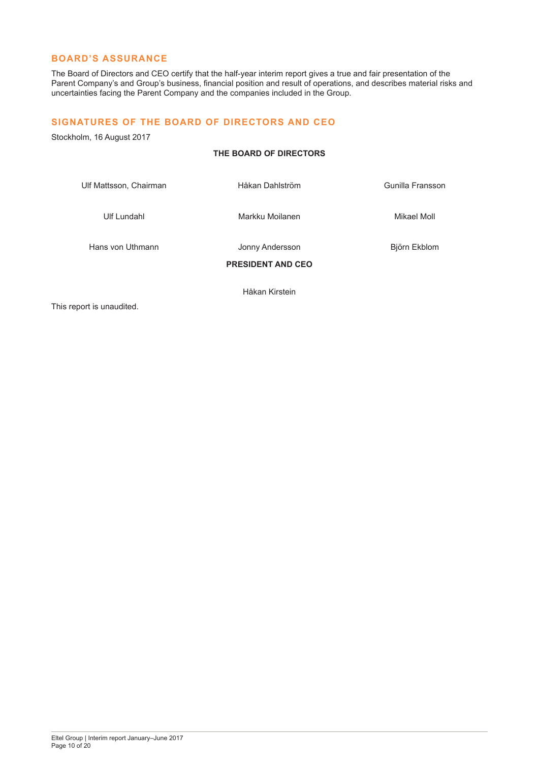### **BOARD'S ASSURANCE**

The Board of Directors and CEO certify that the half-year interim report gives a true and fair presentation of the Parent Company's and Group's business, financial position and result of operations, and describes material risks and uncertainties facing the Parent Company and the companies included in the Group.

#### **SIGNATURES OF THE BOARD OF DIRECTORS AND CEO**

Stockholm, 16 August 2017

# **THE BOARD OF DIRECTORS**

Ulf Mattsson, Chairman Håkan Dahlström Gunilla Fransson Ulf Lundahl Markku Moilanen Mikael Moll

Hans von Uthmann Jonny Andersson Björn Ekblom **PRESIDENT AND CEO**

Håkan Kirstein

This report is unaudited.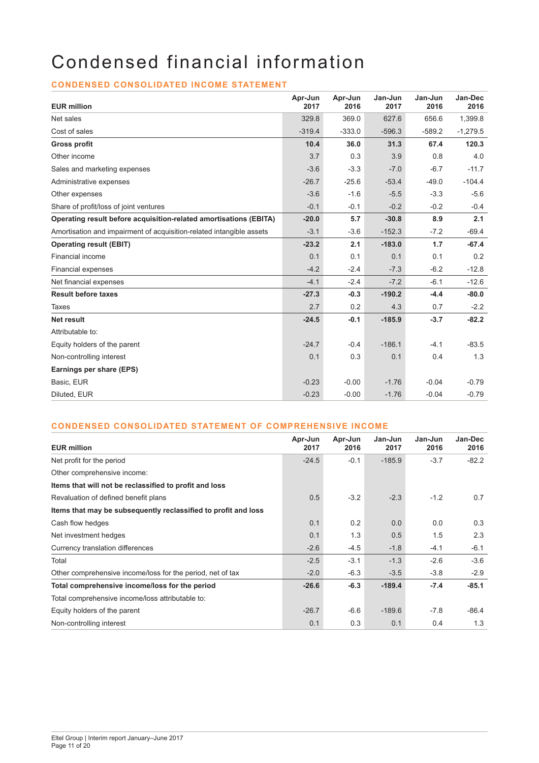# Condensed financial information

# **CONDENSED CONSOLIDATED INCOME STATEMENT**

| <b>EUR million</b>                                                   | Apr-Jun<br>2017 | Apr-Jun<br>2016 | Jan-Jun<br>2017 | Jan-Jun<br>2016 | Jan-Dec<br>2016 |
|----------------------------------------------------------------------|-----------------|-----------------|-----------------|-----------------|-----------------|
| Net sales                                                            | 329.8           | 369.0           | 627.6           | 656.6           | 1,399.8         |
| Cost of sales                                                        | $-319.4$        | $-333.0$        | $-596.3$        | $-589.2$        | $-1,279.5$      |
| <b>Gross profit</b>                                                  | 10.4            | 36.0            | 31.3            | 67.4            | 120.3           |
| Other income                                                         | 3.7             | 0.3             | 3.9             | 0.8             | 4.0             |
| Sales and marketing expenses                                         | $-3.6$          | $-3.3$          | $-7.0$          | $-6.7$          | $-11.7$         |
| Administrative expenses                                              | $-26.7$         | $-25.6$         | $-53.4$         | $-49.0$         | $-104.4$        |
| Other expenses                                                       | $-3.6$          | $-1.6$          | $-5.5$          | $-3.3$          | $-5.6$          |
| Share of profit/loss of joint ventures                               | $-0.1$          | $-0.1$          | $-0.2$          | $-0.2$          | $-0.4$          |
| Operating result before acquisition-related amortisations (EBITA)    | $-20.0$         | 5.7             | $-30.8$         | 8.9             | 2.1             |
| Amortisation and impairment of acquisition-related intangible assets | $-3.1$          | $-3.6$          | $-152.3$        | $-7.2$          | $-69.4$         |
| <b>Operating result (EBIT)</b>                                       | $-23.2$         | 2.1             | $-183.0$        | 1.7             | $-67.4$         |
| Financial income                                                     | 0.1             | 0.1             | 0.1             | 0.1             | 0.2             |
| <b>Financial expenses</b>                                            | $-4.2$          | $-2.4$          | $-7.3$          | $-6.2$          | $-12.8$         |
| Net financial expenses                                               | $-4.1$          | $-2.4$          | $-7.2$          | $-6.1$          | $-12.6$         |
| <b>Result before taxes</b>                                           | $-27.3$         | $-0.3$          | $-190.2$        | $-4.4$          | $-80.0$         |
| Taxes                                                                | 2.7             | 0.2             | 4.3             | 0.7             | $-2.2$          |
| <b>Net result</b>                                                    | $-24.5$         | $-0.1$          | $-185.9$        | $-3.7$          | $-82.2$         |
| Attributable to:                                                     |                 |                 |                 |                 |                 |
| Equity holders of the parent                                         | $-24.7$         | $-0.4$          | $-186.1$        | $-4.1$          | $-83.5$         |
| Non-controlling interest                                             | 0.1             | 0.3             | 0.1             | 0.4             | 1.3             |
| Earnings per share (EPS)                                             |                 |                 |                 |                 |                 |
| Basic, EUR                                                           | $-0.23$         | $-0.00$         | $-1.76$         | $-0.04$         | $-0.79$         |
| Diluted, EUR                                                         | $-0.23$         | $-0.00$         | $-1.76$         | $-0.04$         | $-0.79$         |

# **CONDENSED CONSOLIDATED STATEMENT OF COMPREHENSIVE INCOME**

| <b>EUR million</b>                                             | Apr-Jun<br>2017 | Apr-Jun<br>2016 | Jan-Jun<br>2017 | Jan-Jun<br>2016 | Jan-Dec<br>2016 |
|----------------------------------------------------------------|-----------------|-----------------|-----------------|-----------------|-----------------|
| Net profit for the period                                      | $-24.5$         | $-0.1$          | $-185.9$        | $-3.7$          | $-82.2$         |
| Other comprehensive income:                                    |                 |                 |                 |                 |                 |
| Items that will not be reclassified to profit and loss         |                 |                 |                 |                 |                 |
| Revaluation of defined benefit plans                           | 0.5             | $-3.2$          | $-2.3$          | $-1.2$          | 0.7             |
| Items that may be subsequently reclassified to profit and loss |                 |                 |                 |                 |                 |
| Cash flow hedges                                               | 0.1             | 0.2             | 0.0             | 0.0             | 0.3             |
| Net investment hedges                                          | 0.1             | 1.3             | 0.5             | 1.5             | 2.3             |
| Currency translation differences                               | $-2.6$          | $-4.5$          | $-1.8$          | $-4.1$          | $-6.1$          |
| Total                                                          | $-2.5$          | $-3.1$          | $-1.3$          | $-2.6$          | $-3.6$          |
| Other comprehensive income/loss for the period, net of tax     | $-2.0$          | $-6.3$          | $-3.5$          | $-3.8$          | $-2.9$          |
| Total comprehensive income/loss for the period                 | $-26.6$         | $-6.3$          | $-189.4$        | $-7.4$          | $-85.1$         |
| Total comprehensive income/loss attributable to:               |                 |                 |                 |                 |                 |
| Equity holders of the parent                                   | $-26.7$         | $-6.6$          | $-189.6$        | $-7.8$          | $-86.4$         |
| Non-controlling interest                                       | 0.1             | 0.3             | 0.1             | 0.4             | 1.3             |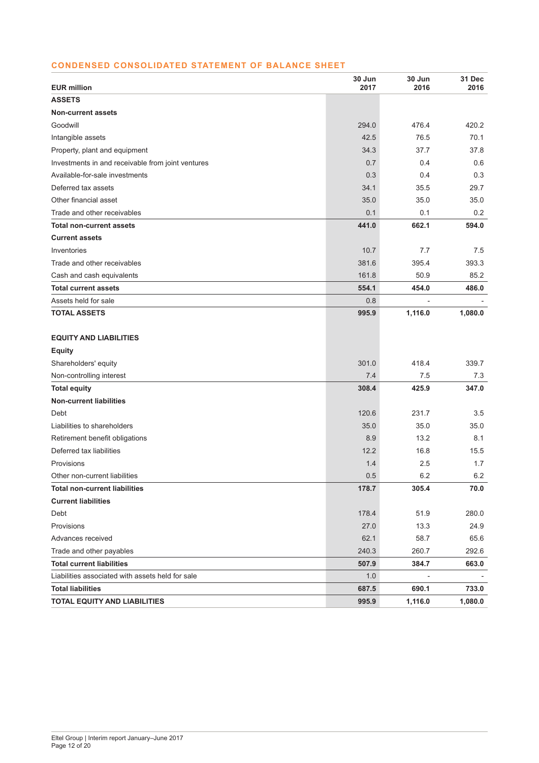# **CONDENSED CONSOLIDATED STATEMENT OF BALANCE SHEET**

| <b>EUR million</b>                                | 30 Jun<br>2017 | 30 Jun<br>2016 | 31 Dec<br>2016 |
|---------------------------------------------------|----------------|----------------|----------------|
| <b>ASSETS</b>                                     |                |                |                |
| <b>Non-current assets</b>                         |                |                |                |
| Goodwill                                          | 294.0          | 476.4          | 420.2          |
| Intangible assets                                 | 42.5           | 76.5           | 70.1           |
| Property, plant and equipment                     | 34.3           | 37.7           | 37.8           |
| Investments in and receivable from joint ventures | 0.7            | 0.4            | 0.6            |
| Available-for-sale investments                    | 0.3            | 0.4            | 0.3            |
| Deferred tax assets                               | 34.1           | 35.5           | 29.7           |
| Other financial asset                             | 35.0           | 35.0           | 35.0           |
| Trade and other receivables                       | 0.1            | 0.1            | 0.2            |
| <b>Total non-current assets</b>                   | 441.0          | 662.1          | 594.0          |
| <b>Current assets</b>                             |                |                |                |
| Inventories                                       | 10.7           | 7.7            | 7.5            |
| Trade and other receivables                       | 381.6          | 395.4          | 393.3          |
| Cash and cash equivalents                         | 161.8          | 50.9           | 85.2           |
| <b>Total current assets</b>                       | 554.1          | 454.0          | 486.0          |
| Assets held for sale                              | 0.8            |                |                |
| <b>TOTAL ASSETS</b>                               | 995.9          | 1,116.0        | 1,080.0        |
|                                                   |                |                |                |
| <b>EQUITY AND LIABILITIES</b>                     |                |                |                |
| <b>Equity</b>                                     |                |                |                |
| Shareholders' equity                              | 301.0          | 418.4          | 339.7          |
| Non-controlling interest                          | 7.4            | 7.5            | 7.3            |
| <b>Total equity</b>                               | 308.4          | 425.9          | 347.0          |
| <b>Non-current liabilities</b>                    |                |                |                |
| Debt                                              | 120.6          | 231.7          | 3.5            |
| Liabilities to shareholders                       | 35.0           | 35.0           | 35.0           |
| Retirement benefit obligations                    | 8.9            | 13.2           | 8.1            |
| Deferred tax liabilities                          | 12.2           | 16.8           | 15.5           |
| Provisions                                        | 1.4            | 2.5            | 1.7            |
| Other non-current liabilities                     | 0.5            | 6.2            | 6.2            |
| <b>Total non-current liabilities</b>              | 178.7          | 305.4          | 70.0           |
| <b>Current liabilities</b>                        |                |                |                |
| Debt                                              | 178.4          | 51.9           | 280.0          |
| Provisions                                        | 27.0           | 13.3           | 24.9           |
| Advances received                                 | 62.1           | 58.7           | 65.6           |
| Trade and other payables                          | 240.3          | 260.7          | 292.6          |
| <b>Total current liabilities</b>                  | 507.9          | 384.7          | 663.0          |
| Liabilities associated with assets held for sale  | 1.0            |                |                |
| <b>Total liabilities</b>                          | 687.5          | 690.1          | 733.0          |
| <b>TOTAL EQUITY AND LIABILITIES</b>               | 995.9          | 1,116.0        | 1,080.0        |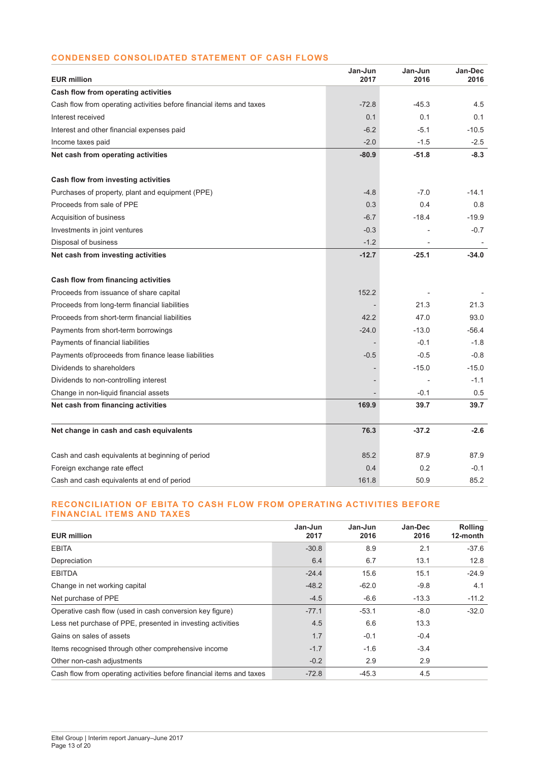## **CONDENSED CONSOLIDATED STATEMENT OF CASH FLOWS**

| <b>EUR million</b>                                                   | Jan-Jun<br>2017 | Jan-Jun<br>2016 | Jan-Dec<br>2016 |
|----------------------------------------------------------------------|-----------------|-----------------|-----------------|
| Cash flow from operating activities                                  |                 |                 |                 |
| Cash flow from operating activities before financial items and taxes | $-72.8$         | $-45.3$         | 4.5             |
| Interest received                                                    | 0.1             | 0.1             | 0.1             |
| Interest and other financial expenses paid                           | $-6.2$          | $-5.1$          | $-10.5$         |
| Income taxes paid                                                    | $-2.0$          | $-1.5$          | $-2.5$          |
| Net cash from operating activities                                   | $-80.9$         | $-51.8$         | $-8.3$          |
| Cash flow from investing activities                                  |                 |                 |                 |
| Purchases of property, plant and equipment (PPE)                     | $-4.8$          | $-7.0$          | $-14.1$         |
| Proceeds from sale of PPE                                            | 0.3             | 0.4             | 0.8             |
| Acquisition of business                                              | $-6.7$          | $-18.4$         | $-19.9$         |
| Investments in joint ventures                                        | $-0.3$          |                 | $-0.7$          |
| Disposal of business                                                 | $-1.2$          |                 |                 |
| Net cash from investing activities                                   | $-12.7$         | $-25.1$         | $-34.0$         |
| Cash flow from financing activities                                  |                 |                 |                 |
| Proceeds from issuance of share capital                              | 152.2           |                 |                 |
| Proceeds from long-term financial liabilities                        |                 | 21.3            | 21.3            |
| Proceeds from short-term financial liabilities                       | 42.2            | 47.0            | 93.0            |
| Payments from short-term borrowings                                  | $-24.0$         | $-13.0$         | $-56.4$         |
| Payments of financial liabilities                                    |                 | $-0.1$          | $-1.8$          |
| Payments of/proceeds from finance lease liabilities                  | $-0.5$          | $-0.5$          | $-0.8$          |
| Dividends to shareholders                                            |                 | $-15.0$         | $-15.0$         |
| Dividends to non-controlling interest                                |                 |                 | $-1.1$          |
| Change in non-liquid financial assets                                |                 | $-0.1$          | 0.5             |
| Net cash from financing activities                                   | 169.9           | 39.7            | 39.7            |
| Net change in cash and cash equivalents                              | 76.3            | $-37.2$         | $-2.6$          |
| Cash and cash equivalents at beginning of period                     | 85.2            | 87.9            | 87.9            |
| Foreign exchange rate effect                                         | 0.4             | 0.2             | $-0.1$          |
| Cash and cash equivalents at end of period                           | 161.8           | 50.9            | 85.2            |

#### **RECONCILIATION OF EBITA TO CASH FLOW FROM OPERATING ACTIVITIES BEFORE FINANCIAL ITEMS AND TAXES**

| <b>EUR million</b>                                                   | Jan-Jun<br>2017 | Jan-Jun<br>2016 | Jan-Dec<br>2016 | <b>Rolling</b><br>12-month |
|----------------------------------------------------------------------|-----------------|-----------------|-----------------|----------------------------|
| <b>EBITA</b>                                                         | $-30.8$         | 8.9             | 2.1             | $-37.6$                    |
| Depreciation                                                         | 6.4             | 6.7             | 13.1            | 12.8                       |
| <b>EBITDA</b>                                                        | $-24.4$         | 15.6            | 15.1            | $-24.9$                    |
| Change in net working capital                                        | $-48.2$         | $-62.0$         | $-9.8$          | 4.1                        |
| Net purchase of PPE                                                  | $-4.5$          | $-6.6$          | $-13.3$         | $-11.2$                    |
| Operative cash flow (used in cash conversion key figure)             | $-77.1$         | $-53.1$         | $-8.0$          | $-32.0$                    |
| Less net purchase of PPE, presented in investing activities          | 4.5             | 6.6             | 13.3            |                            |
| Gains on sales of assets                                             | 1.7             | $-0.1$          | $-0.4$          |                            |
| Items recognised through other comprehensive income                  | $-1.7$          | $-1.6$          | $-3.4$          |                            |
| Other non-cash adjustments                                           | $-0.2$          | 2.9             | 2.9             |                            |
| Cash flow from operating activities before financial items and taxes | $-72.8$         | $-45.3$         | 4.5             |                            |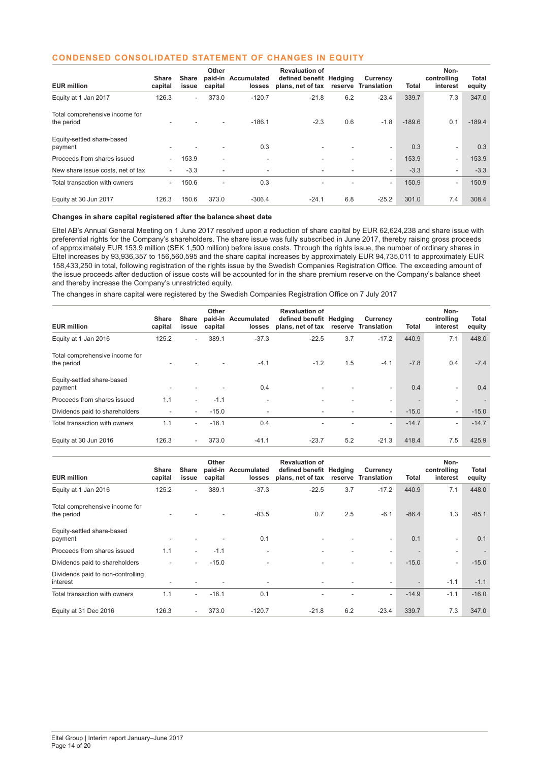#### **CONDENSED CONSOLIDATED STATEMENT OF CHANGES IN EQUITY**

| <b>EUR million</b>                           | <b>Share</b><br>capital  | Share<br>issue | Other<br>capital         | paid-in Accumulated<br>losses | <b>Revaluation of</b><br>defined benefit Hedging<br>plans, net of tax | reserve | Currency<br><b>Translation</b> | Total    | Non-<br>controlling<br>interest | Total<br>equity |
|----------------------------------------------|--------------------------|----------------|--------------------------|-------------------------------|-----------------------------------------------------------------------|---------|--------------------------------|----------|---------------------------------|-----------------|
| Equity at 1 Jan 2017                         | 126.3                    | $\sim$         | 373.0                    | $-120.7$                      | $-21.8$                                                               | 6.2     | $-23.4$                        | 339.7    | 7.3                             | 347.0           |
| Total comprehensive income for<br>the period | ۰                        |                |                          | $-186.1$                      | $-2.3$                                                                | 0.6     | $-1.8$                         | $-189.6$ | 0.1                             | $-189.4$        |
| Equity-settled share-based<br>payment        |                          |                |                          | 0.3                           | ۰                                                                     |         | ٠                              | 0.3      | ٠                               | 0.3             |
| Proceeds from shares issued                  | $\overline{\phantom{a}}$ | 153.9          | $\overline{\phantom{a}}$ | ۰                             |                                                                       |         | ٠                              | 153.9    | ۰                               | 153.9           |
| New share issue costs, net of tax            | $\sim$                   | $-3.3$         | ٠                        | ۰                             | ٠                                                                     |         | ۰                              | $-3.3$   | ٠                               | $-3.3$          |
| Total transaction with owners                | $\overline{\phantom{a}}$ | 150.6          | ٠                        | 0.3                           |                                                                       |         | ٠                              | 150.9    | ۰                               | 150.9           |
| Equity at 30 Jun 2017                        | 126.3                    | 150.6          | 373.0                    | $-306.4$                      | $-24.1$                                                               | 6.8     | $-25.2$                        | 301.0    | 7.4                             | 308.4           |

#### **Changes in share capital registered after the balance sheet date**

Eltel AB's Annual General Meeting on 1 June 2017 resolved upon a reduction of share capital by EUR 62,624,238 and share issue with preferential rights for the Company's shareholders. The share issue was fully subscribed in June 2017, thereby raising gross proceeds of approximately EUR 153.9 million (SEK 1,500 million) before issue costs. Through the rights issue, the number of ordinary shares in Eltel increases by 93,936,357 to 156,560,595 and the share capital increases by approximately EUR 94,735,011 to approximately EUR 158,433,250 in total, following registration of the rights issue by the Swedish Companies Registration Office. The exceeding amount of the issue proceeds after deduction of issue costs will be accounted for in the share premium reserve on the Company's balance sheet and thereby increase the Company's unrestricted equity.

The changes in share capital were registered by the Swedish Companies Registration Office on 7 July 2017

| Share<br>capital | Share<br>issue | Other<br>capital | losses           | <b>Revaluation of</b> |                          | Currency<br>Translation  | Total                              | Non-<br>controlling<br>interest | Total<br>equity |
|------------------|----------------|------------------|------------------|-----------------------|--------------------------|--------------------------|------------------------------------|---------------------------------|-----------------|
| 125.2            |                | 389.1            | $-37.3$          | $-22.5$               | 3.7                      | $-17.2$                  | 440.9                              | 7.1                             | 448.0           |
|                  |                |                  | $-4.1$           | $-1.2$                | 1.5                      | $-4.1$                   | $-7.8$                             | 0.4                             | $-7.4$          |
|                  |                |                  | 0.4              | ٠                     |                          | ۰                        | 0.4                                | ۰                               | 0.4             |
| 1.1              | $\sim$         | $-1.1$           | ٠                | ۰                     |                          | ٠                        |                                    | $\sim$                          |                 |
| ٠                | $\sim$         | $-15.0$          | ٠                | ۰                     | $\overline{\phantom{a}}$ | $\overline{\phantom{0}}$ | $-15.0$                            | $\sim$                          | $-15.0$         |
| 1.1              |                | $-16.1$          | 0.4              | ٠                     |                          | ۰                        | $-14.7$                            | -                               | $-14.7$         |
| 126.3            | $\sim$         | 373.0            | $-41.1$          | $-23.7$               | 5.2                      | $-21.3$                  | 418.4                              | 7.5                             | 425.9           |
|                  |                |                  | $\sim$<br>$\sim$ | paid-in Accumulated   |                          | plans, net of tax        | defined benefit Hedging<br>reserve |                                 |                 |

| <b>EUR million</b>                            | <b>Share</b><br>capital | Share<br>issue | Other<br>capital | paid-in Accumulated<br>losses | <b>Revaluation of</b><br>defined benefit Hedging<br>plans, net of tax |     | Currency<br>reserve Translation | Total   | Non-<br>controlling<br>interest | Total<br>equity |
|-----------------------------------------------|-------------------------|----------------|------------------|-------------------------------|-----------------------------------------------------------------------|-----|---------------------------------|---------|---------------------------------|-----------------|
| Equity at 1 Jan 2016                          | 125.2                   | $\sim$         | 389.1            | $-37.3$                       | $-22.5$                                                               | 3.7 | $-17.2$                         | 440.9   | 7.1                             | 448.0           |
| Total comprehensive income for<br>the period  |                         |                |                  | $-83.5$                       | 0.7                                                                   | 2.5 | $-6.1$                          | $-86.4$ | 1.3                             | $-85.1$         |
| Equity-settled share-based<br>payment         |                         |                |                  | 0.1                           | ۰                                                                     |     | ۰                               | 0.1     | ٠                               | 0.1             |
| Proceeds from shares issued                   | 1.1                     | $\sim$         | $-1.1$           |                               | ۰                                                                     |     | ۰.                              |         | $\overline{\phantom{a}}$        |                 |
| Dividends paid to shareholders                |                         | $\sim$         | $-15.0$          | ۰                             | ۰                                                                     |     | $\overline{\phantom{0}}$        | $-15.0$ | $\overline{\phantom{a}}$        | $-15.0$         |
| Dividends paid to non-controlling<br>interest |                         |                |                  | ۰                             |                                                                       |     | ٠                               |         | $-1.1$                          | $-1.1$          |
| Total transaction with owners                 | 1.1                     | $\sim$         | $-16.1$          | 0.1                           |                                                                       |     | ٠                               | $-14.9$ | $-1.1$                          | $-16.0$         |
| Equity at 31 Dec 2016                         | 126.3                   | $\sim$         | 373.0            | $-120.7$                      | $-21.8$                                                               | 6.2 | $-23.4$                         | 339.7   | 7.3                             | 347.0           |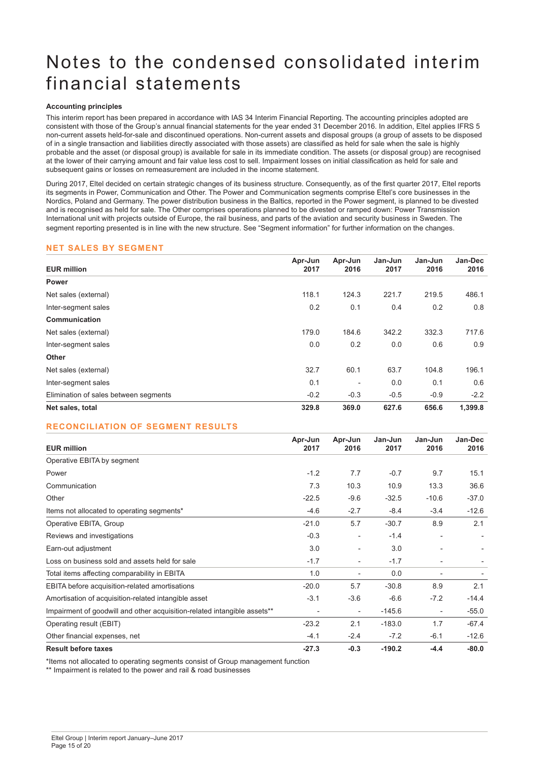# Notes to the condensed consolidated interim financial statements

#### **Accounting principles**

This interim report has been prepared in accordance with IAS 34 Interim Financial Reporting. The accounting principles adopted are consistent with those of the Group's annual financial statements for the year ended 31 December 2016. In addition, Eltel applies IFRS 5 non-current assets held-for-sale and discontinued operations. Non-current assets and disposal groups (a group of assets to be disposed of in a single transaction and liabilities directly associated with those assets) are classified as held for sale when the sale is highly probable and the asset (or disposal group) is available for sale in its immediate condition. The assets (or disposal group) are recognised at the lower of their carrying amount and fair value less cost to sell. Impairment losses on initial classification as held for sale and subsequent gains or losses on remeasurement are included in the income statement.

During 2017, Eltel decided on certain strategic changes of its business structure. Consequently, as of the first quarter 2017, Eltel reports its segments in Power, Communication and Other. The Power and Communication segments comprise Eltel's core businesses in the Nordics, Poland and Germany. The power distribution business in the Baltics, reported in the Power segment, is planned to be divested and is recognised as held for sale. The Other comprises operations planned to be divested or ramped down: Power Transmission International unit with projects outside of Europe, the rail business, and parts of the aviation and security business in Sweden. The segment reporting presented is in line with the new structure. See "Segment information" for further information on the changes.

#### **NET SALES BY SEGMENT**

|                                       | Apr-Jun<br>Apr-Jun |        | Jan-Jun | Jan-Jun | Jan-Dec |
|---------------------------------------|--------------------|--------|---------|---------|---------|
| <b>EUR million</b>                    | 2017               | 2016   | 2017    | 2016    | 2016    |
| <b>Power</b>                          |                    |        |         |         |         |
| Net sales (external)                  | 118.1              | 124.3  | 221.7   | 219.5   | 486.1   |
| Inter-segment sales                   | 0.2                | 0.1    | 0.4     | 0.2     | 0.8     |
| Communication                         |                    |        |         |         |         |
| Net sales (external)                  | 179.0              | 184.6  | 342.2   | 332.3   | 717.6   |
| Inter-segment sales                   | 0.0                | 0.2    | 0.0     | 0.6     | 0.9     |
| <b>Other</b>                          |                    |        |         |         |         |
| Net sales (external)                  | 32.7               | 60.1   | 63.7    | 104.8   | 196.1   |
| Inter-segment sales                   | 0.1                |        | 0.0     | 0.1     | 0.6     |
| Elimination of sales between segments | $-0.2$             | $-0.3$ | $-0.5$  | $-0.9$  | $-2.2$  |
| Net sales, total                      | 329.8              | 369.0  | 627.6   | 656.6   | 1,399.8 |

### **RECONCILIATION OF SEGMENT RESULTS**

| <b>EUR million</b>                                                       | Apr-Jun<br>2017 | Apr-Jun<br>2016          | Jan-Jun<br>2017 | Jan-Jun<br>2016          | Jan-Dec<br>2016 |
|--------------------------------------------------------------------------|-----------------|--------------------------|-----------------|--------------------------|-----------------|
| Operative EBITA by segment                                               |                 |                          |                 |                          |                 |
| Power                                                                    | $-1.2$          | 7.7                      | $-0.7$          | 9.7                      | 15.1            |
| Communication                                                            | 7.3             | 10.3                     | 10.9            | 13.3                     | 36.6            |
| Other                                                                    | $-22.5$         | $-9.6$                   | $-32.5$         | $-10.6$                  | $-37.0$         |
| Items not allocated to operating segments*                               | $-4.6$          | $-2.7$                   | $-8.4$          | $-3.4$                   | $-12.6$         |
| Operative EBITA, Group                                                   | $-21.0$         | 5.7                      | $-30.7$         | 8.9                      | 2.1             |
| Reviews and investigations                                               | $-0.3$          |                          | $-1.4$          |                          |                 |
| Earn-out adjustment                                                      | 3.0             | $\overline{\phantom{a}}$ | 3.0             | $\overline{\phantom{0}}$ |                 |
| Loss on business sold and assets held for sale                           | $-1.7$          | $\overline{\phantom{a}}$ | $-1.7$          |                          |                 |
| Total items affecting comparability in EBITA                             | 1.0             |                          | 0.0             |                          |                 |
| EBITA before acquisition-related amortisations                           | $-20.0$         | 5.7                      | $-30.8$         | 8.9                      | 2.1             |
| Amortisation of acquisition-related intangible asset                     | $-3.1$          | $-3.6$                   | $-6.6$          | $-7.2$                   | $-14.4$         |
| Impairment of goodwill and other acquisition-related intangible assets** | $\overline{a}$  | $\overline{\phantom{a}}$ | $-145.6$        | $\overline{\phantom{a}}$ | $-55.0$         |
| Operating result (EBIT)                                                  | $-23.2$         | 2.1                      | $-183.0$        | 1.7                      | $-67.4$         |
| Other financial expenses, net                                            | $-4.1$          | $-2.4$                   | $-7.2$          | $-6.1$                   | $-12.6$         |
| <b>Result before taxes</b>                                               | $-27.3$         | $-0.3$                   | $-190.2$        | $-4.4$                   | $-80.0$         |

\*Items not allocated to operating segments consist of Group management function

\*\* Impairment is related to the power and rail & road businesses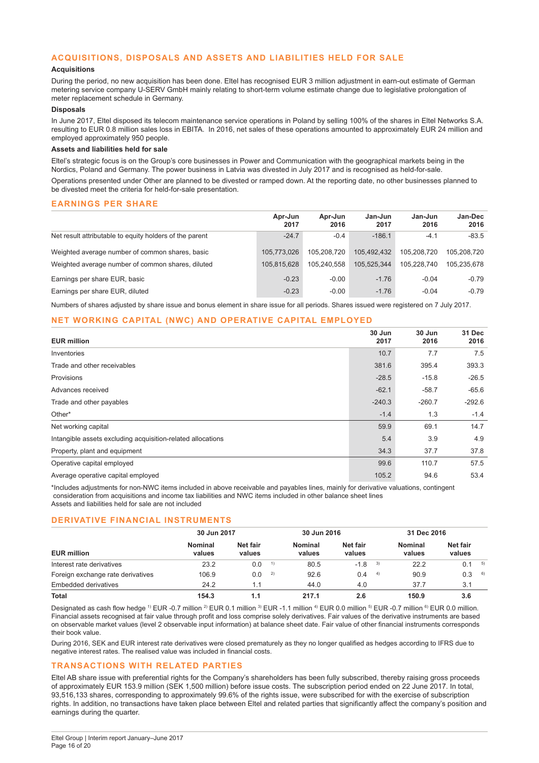#### **ACQUISITIONS, DISPOSALS AND ASSETS AND LIABILITIES HELD FOR SALE**

#### **Acquisitions**

During the period, no new acquisition has been done. Eltel has recognised EUR 3 million adjustment in earn-out estimate of German metering service company U-SERV GmbH mainly relating to short-term volume estimate change due to legislative prolongation of meter replacement schedule in Germany.

#### **Disposals**

In June 2017, Eltel disposed its telecom maintenance service operations in Poland by selling 100% of the shares in Eltel Networks S.A. resulting to EUR 0.8 million sales loss in EBITA. In 2016, net sales of these operations amounted to approximately EUR 24 million and employed approximately 950 people.

#### **Assets and liabilities held for sale**

Eltel's strategic focus is on the Group's core businesses in Power and Communication with the geographical markets being in the Nordics, Poland and Germany. The power business in Latvia was divested in July 2017 and is recognised as held-for-sale.

Operations presented under Other are planned to be divested or ramped down. At the reporting date, no other businesses planned to be divested meet the criteria for held-for-sale presentation.

#### **EARNINGS PER SHARE**

|                                                         | Apr-Jun<br>2017 | Apr-Jun<br>2016 | Jan-Jun<br>2017 | Jan-Jun<br>2016 | Jan-Dec<br>2016 |
|---------------------------------------------------------|-----------------|-----------------|-----------------|-----------------|-----------------|
| Net result attributable to equity holders of the parent | $-24.7$         | $-0.4$          | $-186.1$        | $-4.1$          | $-83.5$         |
| Weighted average number of common shares, basic         | 105.773.026     | 105.208.720     | 105.492.432     | 105.208.720     | 105.208.720     |
| Weighted average number of common shares, diluted       | 105.815.628     | 105.240.558     | 105.525.344     | 105.228.740     | 105.235.678     |
| Earnings per share EUR, basic                           | $-0.23$         | $-0.00$         | $-1.76$         | $-0.04$         | $-0.79$         |
| Earnings per share EUR, diluted                         | $-0.23$         | $-0.00$         | $-1.76$         | $-0.04$         | $-0.79$         |

Numbers of shares adjusted by share issue and bonus element in share issue for all periods. Shares issued were registered on 7 July 2017.

#### **NET WORKING CAPITAL (NWC) AND OPERATIVE CAPITAL EMPLOYED**

| <b>EUR million</b>                                          | 30 Jun<br>2017 | 30 Jun<br>2016 | 31 Dec<br>2016 |
|-------------------------------------------------------------|----------------|----------------|----------------|
| Inventories                                                 | 10.7           | 7.7            | 7.5            |
| Trade and other receivables                                 | 381.6          | 395.4          | 393.3          |
| <b>Provisions</b>                                           | $-28.5$        | $-15.8$        | $-26.5$        |
| Advances received                                           | $-62.1$        | $-58.7$        | $-65.6$        |
| Trade and other payables                                    | $-240.3$       | $-260.7$       | $-292.6$       |
| Other*                                                      | $-1.4$         | 1.3            | $-1.4$         |
| Net working capital                                         | 59.9           | 69.1           | 14.7           |
| Intangible assets excluding acquisition-related allocations | 5.4            | 3.9            | 4.9            |
| Property, plant and equipment                               | 34.3           | 37.7           | 37.8           |
| Operative capital employed                                  | 99.6           | 110.7          | 57.5           |
| Average operative capital employed                          | 105.2          | 94.6           | 53.4           |

\*Includes adjustments for non-NWC items included in above receivable and payables lines, mainly for derivative valuations, contingent consideration from acquisitions and income tax liabilities and NWC items included in other balance sheet lines Assets and liabilities held for sale are not included

#### **DERIVATIVE FINANCIAL INSTRUMENTS**

| <b>EUR million</b>                | 30 Jun 2017       |                    |    | 30 Jun 2016       |                    |      | 31 Dec 2016       |                    |    |
|-----------------------------------|-------------------|--------------------|----|-------------------|--------------------|------|-------------------|--------------------|----|
|                                   | Nominal<br>values | Net fair<br>values |    | Nominal<br>values | Net fair<br>values |      | Nominal<br>values | Net fair<br>values |    |
| Interest rate derivatives         | 23.2              | 0.0                | 1) | 80.5              | $-1.8$             | 3)   | 22.2              | 0.1                | 5) |
| Foreign exchange rate derivatives | 106.9             | 0.0                | 2) | 92.6              | 0.4                | - 4) | 90.9              | 0.3                | 6) |
| Embedded derivatives              | 24.2              | 1.1                |    | 44.0              | 4.0                |      | 37.7              | 3.1                |    |
| <b>Total</b>                      | 154.3             | 1.1                |    | 217.1             | 2.6                |      | 150.9             | 3.6                |    |

Designated as cash flow hedge <sup>1</sup>) EUR -0.7 million <sup>2</sup>) EUR 0.1 million <sup>3</sup>) EUR -1.1 million <sup>4</sup>) EUR 0.0 million <sup>5</sup>) EUR -0.7 million <sup>6</sup>) EUR 0.0 million. Financial assets recognised at fair value through profit and loss comprise solely derivatives. Fair values of the derivative instruments are based on observable market values (level 2 observable input information) at balance sheet date. Fair value of other financial instruments corresponds their book value.

During 2016, SEK and EUR interest rate derivatives were closed prematurely as they no longer qualified as hedges according to IFRS due to negative interest rates. The realised value was included in financial costs.

#### **TRANSACTIONS WITH RELATED PARTIES**

Eltel AB share issue with preferential rights for the Company's shareholders has been fully subscribed, thereby raising gross proceeds of approximately EUR 153.9 million (SEK 1,500 million) before issue costs. The subscription period ended on 22 June 2017. In total, 93,516,133 shares, corresponding to approximately 99.6% of the rights issue, were subscribed for with the exercise of subscription rights. In addition, no transactions have taken place between Eltel and related parties that significantly affect the company's position and earnings during the quarter.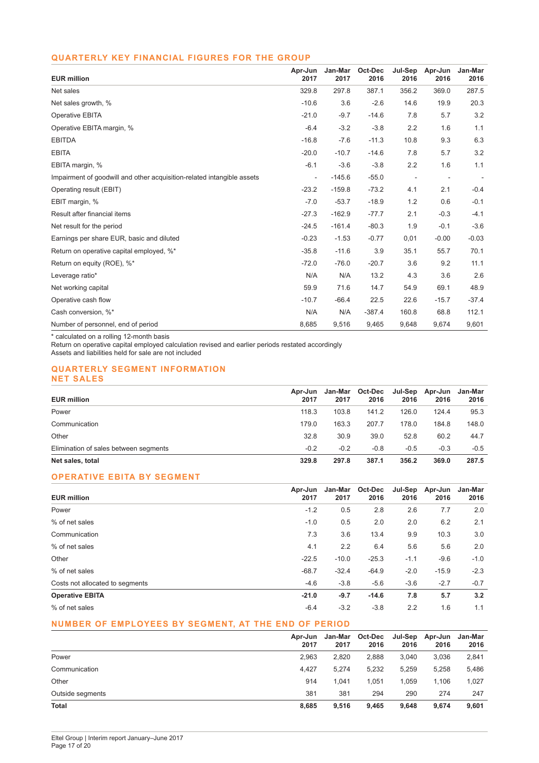### **QUARTERLY KEY FINANCIAL FIGURES FOR THE GROUP**

| <b>EUR million</b>                                                     | Apr-Jun<br>2017          | Jan-Mar<br>2017 | Oct-Dec<br>2016 | Jul-Sep<br>2016 | Apr-Jun<br>2016          | Jan-Mar<br>2016 |
|------------------------------------------------------------------------|--------------------------|-----------------|-----------------|-----------------|--------------------------|-----------------|
| Net sales                                                              | 329.8                    | 297.8           | 387.1           | 356.2           | 369.0                    | 287.5           |
| Net sales growth, %                                                    | $-10.6$                  | 3.6             | $-2.6$          | 14.6            | 19.9                     | 20.3            |
| Operative EBITA                                                        | $-21.0$                  | $-9.7$          | $-14.6$         | 7.8             | 5.7                      | 3.2             |
| Operative EBITA margin, %                                              | $-6.4$                   | $-3.2$          | $-3.8$          | 2.2             | 1.6                      | 1.1             |
| <b>EBITDA</b>                                                          | $-16.8$                  | $-7.6$          | $-11.3$         | 10.8            | 9.3                      | 6.3             |
| <b>EBITA</b>                                                           | $-20.0$                  | $-10.7$         | $-14.6$         | 7.8             | 5.7                      | 3.2             |
| EBITA margin, %                                                        | $-6.1$                   | $-3.6$          | $-3.8$          | 2.2             | 1.6                      | 1.1             |
| Impairment of goodwill and other acquisition-related intangible assets | $\overline{\phantom{a}}$ | $-145.6$        | $-55.0$         |                 | $\overline{\phantom{a}}$ |                 |
| Operating result (EBIT)                                                | $-23.2$                  | $-159.8$        | $-73.2$         | 4.1             | 2.1                      | $-0.4$          |
| EBIT margin, %                                                         | $-7.0$                   | $-53.7$         | $-18.9$         | 1.2             | 0.6                      | $-0.1$          |
| Result after financial items                                           | $-27.3$                  | $-162.9$        | $-77.7$         | 2.1             | $-0.3$                   | $-4.1$          |
| Net result for the period                                              | $-24.5$                  | $-161.4$        | $-80.3$         | 1.9             | $-0.1$                   | $-3.6$          |
| Earnings per share EUR, basic and diluted                              | $-0.23$                  | $-1.53$         | $-0.77$         | 0,01            | $-0.00$                  | $-0.03$         |
| Return on operative capital employed, %*                               | $-35.8$                  | $-11.6$         | 3.9             | 35.1            | 55.7                     | 70.1            |
| Return on equity (ROE), %*                                             | $-72.0$                  | $-76.0$         | $-20.7$         | 3.6             | 9.2                      | 11.1            |
| Leverage ratio*                                                        | N/A                      | N/A             | 13.2            | 4.3             | 3.6                      | 2.6             |
| Net working capital                                                    | 59.9                     | 71.6            | 14.7            | 54.9            | 69.1                     | 48.9            |
| Operative cash flow                                                    | $-10.7$                  | $-66.4$         | 22.5            | 22.6            | $-15.7$                  | $-37.4$         |
| Cash conversion, %*                                                    | N/A                      | N/A             | $-387.4$        | 160.8           | 68.8                     | 112.1           |
| Number of personnel, end of period                                     | 8,685                    | 9,516           | 9,465           | 9,648           | 9,674                    | 9,601           |

\* calculated on a rolling 12-month basis

Return on operative capital employed calculation revised and earlier periods restated accordingly

Assets and liabilities held for sale are not included

#### **QUARTERLY SEGMENT INFORMATION NET SALES**

| <b>EUR million</b>                    | Apr-Jun<br>2017 | 2017   | Jan-Mar Oct-Dec<br>2016 | Jul-Sep<br>2016 | Apr-Jun<br>2016 | Jan-Mar<br>2016 |
|---------------------------------------|-----------------|--------|-------------------------|-----------------|-----------------|-----------------|
| Power                                 | 118.3           | 103.8  | 141.2                   | 126.0           | 124.4           | 95.3            |
| Communication                         | 179.0           | 163.3  | 207.7                   | 178.0           | 184.8           | 148.0           |
| Other                                 | 32.8            | 30.9   | 39.0                    | 52.8            | 60.2            | 44.7            |
| Elimination of sales between segments | $-0.2$          | $-0.2$ | $-0.8$                  | $-0.5$          | $-0.3$          | $-0.5$          |
| Net sales, total                      | 329.8           | 297.8  | 387.1                   | 356.2           | 369.0           | 287.5           |

# **OPERATIVE EBITA BY SEGMENT**

| <b>EUR million</b>              | Apr-Jun<br>2017 | Jan-Mar<br>2017 | Oct-Dec<br>2016 | 2016   | Jul-Sep Apr-Jun<br>2016 | Jan-Mar<br>2016 |
|---------------------------------|-----------------|-----------------|-----------------|--------|-------------------------|-----------------|
| Power                           | $-1.2$          | 0.5             | 2.8             | 2.6    | 7.7                     | 2.0             |
| % of net sales                  | $-1.0$          | 0.5             | 2.0             | 2.0    | 6.2                     | 2.1             |
| Communication                   | 7.3             | 3.6             | 13.4            | 9.9    | 10.3                    | 3.0             |
| % of net sales                  | 4.1             | 2.2             | 6.4             | 5.6    | 5.6                     | 2.0             |
| Other                           | $-22.5$         | $-10.0$         | $-25.3$         | $-1.1$ | $-9.6$                  | $-1.0$          |
| % of net sales                  | $-68.7$         | $-32.4$         | $-64.9$         | $-2.0$ | $-15.9$                 | $-2.3$          |
| Costs not allocated to segments | $-4.6$          | $-3.8$          | $-5.6$          | $-3.6$ | $-2.7$                  | $-0.7$          |
| <b>Operative EBITA</b>          | $-21.0$         | $-9.7$          | $-14.6$         | 7.8    | 5.7                     | 3.2             |
| % of net sales                  | $-6.4$          | $-3.2$          | $-3.8$          | 2.2    | 1.6                     | 1.1             |

# **NUMBER OF EMPLOYEES BY SEGMENT, AT THE END OF PERIOD**

|                  | Apr-Jun<br>2017 | Jan-Mar<br>2017 | Oct-Dec<br>2016 | Jul-Sep<br>2016 | Apr-Jun<br>2016 | Jan-Mar<br>2016 |
|------------------|-----------------|-----------------|-----------------|-----------------|-----------------|-----------------|
| Power            | 2.963           | 2.820           | 2.888           | 3.040           | 3.036           | 2,841           |
| Communication    | 4.427           | 5.274           | 5,232           | 5,259           | 5.258           | 5,486           |
| Other            | 914             | 1.041           | 1.051           | 1.059           | 1.106           | 1,027           |
| Outside segments | 381             | 381             | 294             | 290             | 274             | 247             |
| <b>Total</b>     | 8,685           | 9,516           | 9.465           | 9,648           | 9,674           | 9,601           |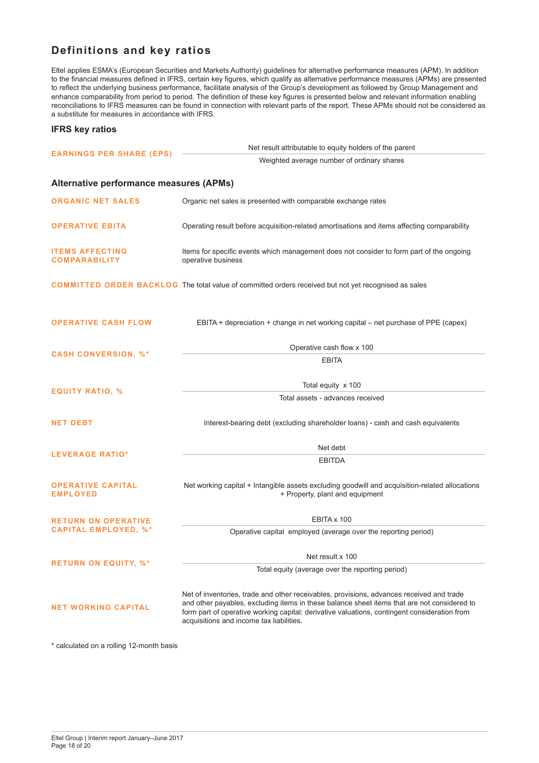# **Definitions and key ratios**

Eltel applies ESMA's (European Securities and Markets Authority) guidelines for alternative performance measures (APM). In addition to the financial measures defined in IFRS, certain key figures, which qualify as alternative performance measures (APMs) are presented to reflect the underlying business performance, facilitate analysis of the Group's development as followed by Group Management and enhance comparability from period to period. The definition of these key figures is presented below and relevant information enabling reconciliations to IFRS measures can be found in connection with relevant parts of the report. These APMs should not be considered as a substitute for measures in accordance with IFRS.

#### **IFRS key ratios**

| <b>EARNINGS PER SHARE (EPS)</b>                           | Net result attributable to equity holders of the parent                                                                                                                                                                                                                                                                             |  |  |  |  |  |
|-----------------------------------------------------------|-------------------------------------------------------------------------------------------------------------------------------------------------------------------------------------------------------------------------------------------------------------------------------------------------------------------------------------|--|--|--|--|--|
|                                                           | Weighted average number of ordinary shares                                                                                                                                                                                                                                                                                          |  |  |  |  |  |
| Alternative performance measures (APMs)                   |                                                                                                                                                                                                                                                                                                                                     |  |  |  |  |  |
| <b>ORGANIC NET SALES</b>                                  | Organic net sales is presented with comparable exchange rates                                                                                                                                                                                                                                                                       |  |  |  |  |  |
| <b>OPERATIVE EBITA</b>                                    | Operating result before acquisition-related amortisations and items affecting comparability                                                                                                                                                                                                                                         |  |  |  |  |  |
| <b>ITEMS AFFECTING</b><br><b>COMPARABILITY</b>            | Items for specific events which management does not consider to form part of the ongoing<br>operative business                                                                                                                                                                                                                      |  |  |  |  |  |
|                                                           | COMMITTED ORDER BACKLOG The total value of committed orders received but not yet recognised as sales                                                                                                                                                                                                                                |  |  |  |  |  |
| <b>OPERATIVE CASH FLOW</b>                                | EBITA + depreciation + change in net working capital – net purchase of PPE (capex)                                                                                                                                                                                                                                                  |  |  |  |  |  |
| <b>CASH CONVERSION, %*</b>                                | Operative cash flow x 100                                                                                                                                                                                                                                                                                                           |  |  |  |  |  |
|                                                           | <b>EBITA</b>                                                                                                                                                                                                                                                                                                                        |  |  |  |  |  |
| <b>EQUITY RATIO, %</b>                                    | Total equity x 100                                                                                                                                                                                                                                                                                                                  |  |  |  |  |  |
|                                                           | Total assets - advances received                                                                                                                                                                                                                                                                                                    |  |  |  |  |  |
| <b>NET DEBT</b>                                           | Interest-bearing debt (excluding shareholder loans) - cash and cash equivalents                                                                                                                                                                                                                                                     |  |  |  |  |  |
|                                                           | Net debt                                                                                                                                                                                                                                                                                                                            |  |  |  |  |  |
| <b>LEVERAGE RATIO*</b>                                    | <b>EBITDA</b>                                                                                                                                                                                                                                                                                                                       |  |  |  |  |  |
| <b>OPERATIVE CAPITAL</b><br><b>EMPLOYED</b>               | Net working capital + Intangible assets excluding goodwill and acquisition-related allocations<br>+ Property, plant and equipment                                                                                                                                                                                                   |  |  |  |  |  |
| <b>RETURN ON OPERATIVE</b><br><b>CAPITAL EMPLOYED, %*</b> | EBITA x 100                                                                                                                                                                                                                                                                                                                         |  |  |  |  |  |
|                                                           | Operative capital employed (average over the reporting period)                                                                                                                                                                                                                                                                      |  |  |  |  |  |
| <b>RETURN ON EQUITY, %*</b>                               | Net result x 100                                                                                                                                                                                                                                                                                                                    |  |  |  |  |  |
|                                                           | Total equity (average over the reporting period)                                                                                                                                                                                                                                                                                    |  |  |  |  |  |
| <b>NET WORKING CAPITAL</b>                                | Net of inventories, trade and other receivables, provisions, advances received and trade<br>and other payables, excluding items in these balance sheet items that are not considered to<br>form part of operative working capital: derivative valuations, contingent consideration from<br>acquisitions and income tax liabilities. |  |  |  |  |  |

\* calculated on a rolling 12-month basis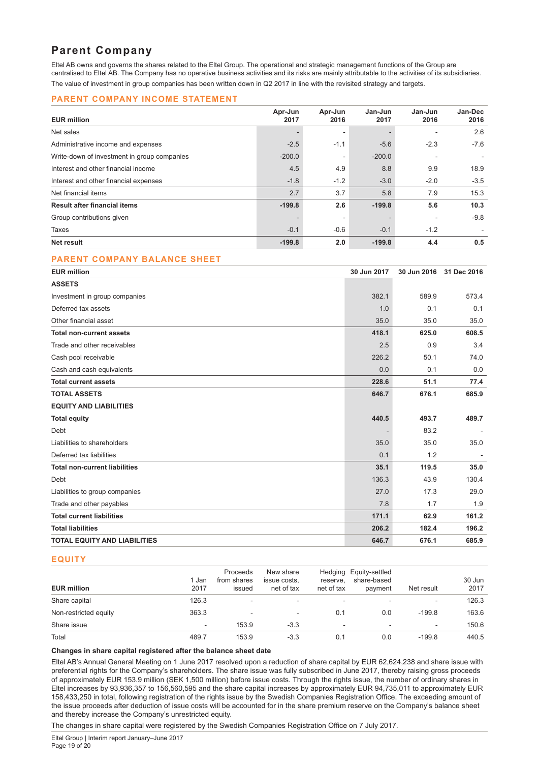# **Parent Company**

Eltel AB owns and governs the shares related to the Eltel Group. The operational and strategic management functions of the Group are centralised to Eltel AB. The Company has no operative business activities and its risks are mainly attributable to the activities of its subsidiaries. The value of investment in group companies has been written down in Q2 2017 in line with the revisited strategy and targets.

#### **PARENT COMPANY INCOME STATEMENT**

| <b>EUR million</b>                          | Apr-Jun<br>2017 | Apr-Jun<br>2016 | Jan-Jun<br>2017 | Jan-Jun<br>2016 | Jan-Dec<br>2016 |
|---------------------------------------------|-----------------|-----------------|-----------------|-----------------|-----------------|
| Net sales                                   |                 |                 |                 |                 | 2.6             |
| Administrative income and expenses          | $-2.5$          | $-1.1$          | $-5.6$          | $-2.3$          | $-7.6$          |
| Write-down of investment in group companies | $-200.0$        | -               | $-200.0$        |                 |                 |
| Interest and other financial income         | 4.5             | 4.9             | 8.8             | 9.9             | 18.9            |
| Interest and other financial expenses       | $-1.8$          | $-1.2$          | $-3.0$          | $-2.0$          | $-3.5$          |
| Net financial items                         | 2.7             | 3.7             | 5.8             | 7.9             | 15.3            |
| <b>Result after financial items</b>         | $-199.8$        | 2.6             | $-199.8$        | 5.6             | 10.3            |
| Group contributions given                   |                 | ٠               |                 |                 | $-9.8$          |
| Taxes                                       | $-0.1$          | $-0.6$          | $-0.1$          | $-1.2$          |                 |
| Net result                                  | $-199.8$        | 2.0             | $-199.8$        | 4.4             | 0.5             |

#### **PARENT COMPANY BALANCE SHEET**

| <b>EUR million</b>                   | 30 Jun 2017 | 30 Jun 2016 | 31 Dec 2016              |
|--------------------------------------|-------------|-------------|--------------------------|
| <b>ASSETS</b>                        |             |             |                          |
| Investment in group companies        | 382.1       | 589.9       | 573.4                    |
| Deferred tax assets                  | 1.0         | 0.1         | 0.1                      |
| Other financial asset                | 35.0        | 35.0        | 35.0                     |
| <b>Total non-current assets</b>      | 418.1       | 625.0       | 608.5                    |
| Trade and other receivables          | 2.5         | 0.9         | 3.4                      |
| Cash pool receivable                 | 226.2       | 50.1        | 74.0                     |
| Cash and cash equivalents            | 0.0         | 0.1         | 0.0                      |
| <b>Total current assets</b>          | 228.6       | 51.1        | 77.4                     |
| <b>TOTAL ASSETS</b>                  | 646.7       | 676.1       | 685.9                    |
| <b>EQUITY AND LIABILITIES</b>        |             |             |                          |
| <b>Total equity</b>                  | 440.5       | 493.7       | 489.7                    |
| Debt                                 |             | 83.2        |                          |
| Liabilities to shareholders          | 35.0        | 35.0        | 35.0                     |
| Deferred tax liabilities             | 0.1         | 1.2         | $\overline{\phantom{a}}$ |
| <b>Total non-current liabilities</b> | 35.1        | 119.5       | 35.0                     |
| Debt                                 | 136.3       | 43.9        | 130.4                    |
| Liabilities to group companies       | 27.0        | 17.3        | 29.0                     |
| Trade and other payables             | 7.8         | 1.7         | 1.9                      |
| <b>Total current liabilities</b>     | 171.1       | 62.9        | 161.2                    |
| <b>Total liabilities</b>             | 206.2       | 182.4       | 196.2                    |
| <b>TOTAL EQUITY AND LIABILITIES</b>  | 646.7       | 676.1       | 685.9                    |

#### **EQUITY**

| <b>EUR million</b>    | 1 Jan<br>2017 | Proceeds<br>from shares<br>issued | New share<br>issue costs.<br>net of tax | reserve.<br>net of tax   | Hedging Equity-settled<br>share-based<br>payment | Net result               | 30 Jun<br>2017 |
|-----------------------|---------------|-----------------------------------|-----------------------------------------|--------------------------|--------------------------------------------------|--------------------------|----------------|
| Share capital         | 126.3         | ۰                                 | $\sim$                                  | ۰                        | ۰                                                | $\overline{\phantom{a}}$ | 126.3          |
| Non-restricted equity | 363.3         | ٠                                 | ٠                                       | 0.1                      | 0.0                                              | $-199.8$                 | 163.6          |
| Share issue           | $\sim$        | 153.9                             | $-3.3$                                  | $\overline{\phantom{a}}$ | $\overline{\phantom{a}}$                         | $\overline{\phantom{a}}$ | 150.6          |
| Total                 | 489.7         | 153.9                             | $-3.3$                                  | 0.1                      | 0.0                                              | $-199.8$                 | 440.5          |

#### **Changes in share capital registered after the balance sheet date**

Eltel AB's Annual General Meeting on 1 June 2017 resolved upon a reduction of share capital by EUR 62,624,238 and share issue with preferential rights for the Company's shareholders. The share issue was fully subscribed in June 2017, thereby raising gross proceeds of approximately EUR 153.9 million (SEK 1,500 million) before issue costs. Through the rights issue, the number of ordinary shares in Eltel increases by 93,936,357 to 156,560,595 and the share capital increases by approximately EUR 94,735,011 to approximately EUR 158,433,250 in total, following registration of the rights issue by the Swedish Companies Registration Office. The exceeding amount of the issue proceeds after deduction of issue costs will be accounted for in the share premium reserve on the Company's balance sheet and thereby increase the Company's unrestricted equity.

The changes in share capital were registered by the Swedish Companies Registration Office on 7 July 2017.